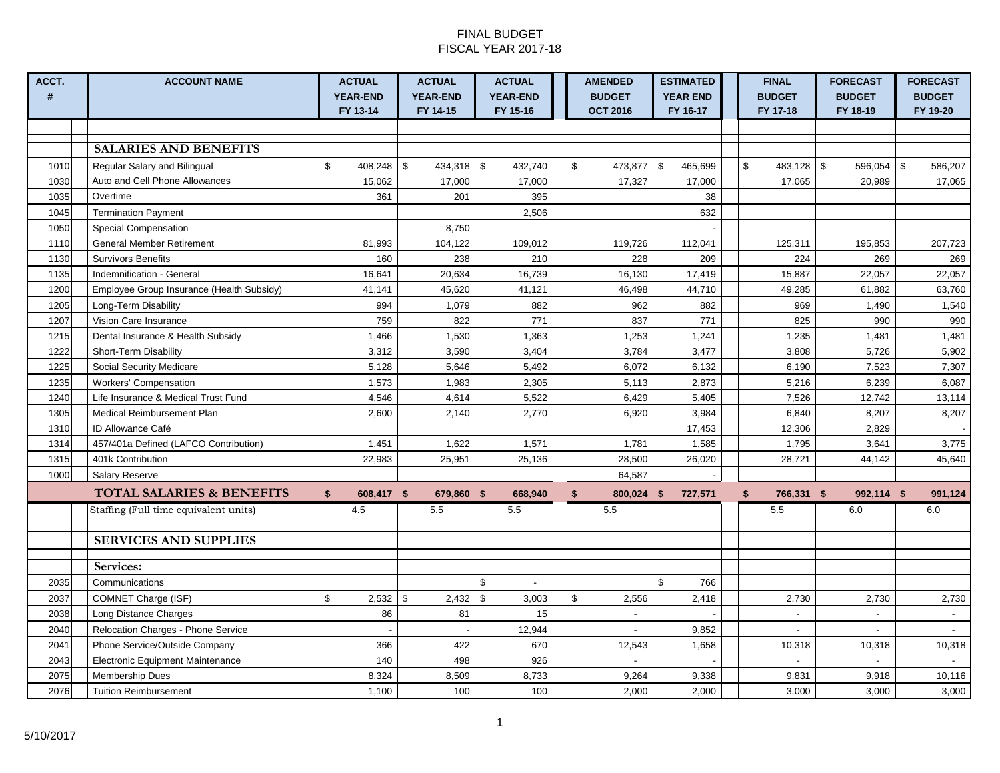#### FINAL BUDGET FISCAL YEAR 2017-18

| ACCT.          | <b>ACCOUNT NAME</b>                       | <b>ACTUAL</b>      | <b>ACTUAL</b>           | <b>ACTUAL</b>          | <b>AMENDED</b>          | <b>ESTIMATED</b> | <b>FINAL</b>     | <b>FORECAST</b>                | <b>FORECAST</b> |
|----------------|-------------------------------------------|--------------------|-------------------------|------------------------|-------------------------|------------------|------------------|--------------------------------|-----------------|
| $\pmb{\sharp}$ |                                           | <b>YEAR-END</b>    | <b>YEAR-END</b>         | <b>YEAR-END</b>        | <b>BUDGET</b>           | <b>YEAR END</b>  | <b>BUDGET</b>    | <b>BUDGET</b>                  | <b>BUDGET</b>   |
|                |                                           | FY 13-14           | FY 14-15                | FY 15-16               | <b>OCT 2016</b>         | FY 16-17         | FY 17-18         | FY 18-19                       | FY 19-20        |
|                |                                           |                    |                         |                        |                         |                  |                  |                                |                 |
|                | <b>SALARIES AND BENEFITS</b>              |                    |                         |                        |                         |                  |                  |                                |                 |
| 1010           | Regular Salary and Bilingual              | $408,248$ \$<br>\$ | 434,318                 | \$<br>432,740          | $\mathbb{S}$<br>473,877 | \$<br>465,699    | \$<br>483,128    | $\mathfrak{S}$<br>$596,054$ \$ | 586,207         |
| 1030           | Auto and Cell Phone Allowances            | 15.062             | 17,000                  | 17,000                 | 17,327                  | 17,000           | 17,065           | 20,989                         | 17,065          |
| 1035           | Overtime                                  | 361                | 201                     | 395                    |                         | 38               |                  |                                |                 |
| 1045           | <b>Termination Payment</b>                |                    |                         | 2,506                  |                         | 632              |                  |                                |                 |
| 1050           | <b>Special Compensation</b>               |                    | 8,750                   |                        |                         |                  |                  |                                |                 |
| 1110           | <b>General Member Retirement</b>          | 81,993             | 104,122                 | 109,012                | 119,726                 | 112,041          | 125,311          | 195,853                        | 207,723         |
| 1130           | <b>Survivors Benefits</b>                 | 160                | 238                     | 210                    | 228                     | 209              | 224              | 269                            | 269             |
| 1135           | Indemnification - General                 | 16,641             | 20,634                  | 16,739                 | 16,130                  | 17,419           | 15,887           | 22,057                         | 22,057          |
| 1200           | Employee Group Insurance (Health Subsidy) | 41,141             | 45,620                  | 41,121                 | 46,498                  | 44,710           | 49,285           | 61,882                         | 63,760          |
| 1205           | Long-Term Disability                      | 994                | 1,079                   | 882                    | 962                     | 882              | 969              | 1,490                          | 1,540           |
| 1207           | Vision Care Insurance                     | 759                | 822                     | 771                    | 837                     | 771              | 825              | 990                            | 990             |
| 1215           | Dental Insurance & Health Subsidy         | 1,466              | 1,530                   | 1,363                  | 1,253                   | 1,241            | 1,235            | 1,481                          | 1,481           |
| 1222           | Short-Term Disability                     | 3,312              | 3,590                   | 3,404                  | 3,784                   | 3,477            | 3,808            | 5,726                          | 5,902           |
| 1225           | <b>Social Security Medicare</b>           | 5,128              | 5,646                   | 5,492                  | 6,072                   | 6,132            | 6,190            | 7,523                          | 7,307           |
| 1235           | <b>Workers' Compensation</b>              | 1,573              | 1,983                   | 2,305                  | 5,113                   | 2,873            | 5,216            | 6,239                          | 6,087           |
| 1240           | Life Insurance & Medical Trust Fund       | 4,546              | 4,614                   | 5,522                  | 6,429                   | 5,405            | 7,526            | 12,742                         | 13,114          |
| 1305           | Medical Reimbursement Plan                | 2,600              | 2,140                   | 2,770                  | 6,920                   | 3,984            | 6,840            | 8,207                          | 8,207           |
| 1310           | ID Allowance Café                         |                    |                         |                        |                         | 17,453           | 12,306           | 2,829                          |                 |
| 1314           | 457/401a Defined (LAFCO Contribution)     | 1,451              | 1,622                   | 1,571                  | 1,781                   | 1,585            | 1,795            | 3,641                          | 3,775           |
| 1315           | 401k Contribution                         | 22,983             | 25,951                  | 25,136                 | 28,500                  | 26,020           | 28,721           | 44,142                         | 45,640          |
| 1000           | <b>Salary Reserve</b>                     |                    |                         |                        | 64,587                  |                  |                  |                                |                 |
|                | <b>TOTAL SALARIES &amp; BENEFITS</b>      | 608,417 \$<br>\$   | 679,860 \$              | 668,940                | \$<br>800,024 \$        | 727,571          | \$<br>766,331 \$ | 992,114 \$                     | 991,124         |
|                | Staffing (Full time equivalent units)     | 4.5                | 5.5                     | 5.5                    | 5.5                     |                  | 5.5              | 6.0                            | 6.0             |
|                |                                           |                    |                         |                        |                         |                  |                  |                                |                 |
|                | <b>SERVICES AND SUPPLIES</b>              |                    |                         |                        |                         |                  |                  |                                |                 |
|                | Services:                                 |                    |                         |                        |                         |                  |                  |                                |                 |
| 2035           | Communications                            |                    |                         | \$                     |                         | \$<br>766        |                  |                                |                 |
| 2037           | COMNET Charge (ISF)                       | \$<br>2,532        | $\mathfrak{S}$<br>2,432 | $\mathfrak s$<br>3,003 | \$<br>2,556             | 2,418            | 2,730            | 2,730                          | 2,730           |
| 2038           | Long Distance Charges                     | 86                 | 81                      | 15                     | $\blacksquare$          |                  | $\sim$           | $\sim$                         | $\sim$          |
| 2040           | Relocation Charges - Phone Service        |                    |                         | 12,944                 | $\blacksquare$          | 9,852            |                  |                                |                 |
| 2041           | Phone Service/Outside Company             | 366                | 422                     | 670                    | 12,543                  | 1,658            | 10,318           | 10,318                         | 10,318          |
| 2043           | Electronic Equipment Maintenance          | 140                | 498                     | 926                    |                         |                  | $\sim$           | $\overline{a}$                 | $\sim$          |
| 2075           | <b>Membership Dues</b>                    | 8,324              | 8,509                   | 8,733                  | 9,264                   | 9,338            | 9,831            | 9,918                          | 10,116          |
| 2076           | <b>Tuition Reimbursement</b>              | 1,100              | 100                     | 100                    | 2,000                   | 2,000            | 3,000            | 3,000                          | 3,000           |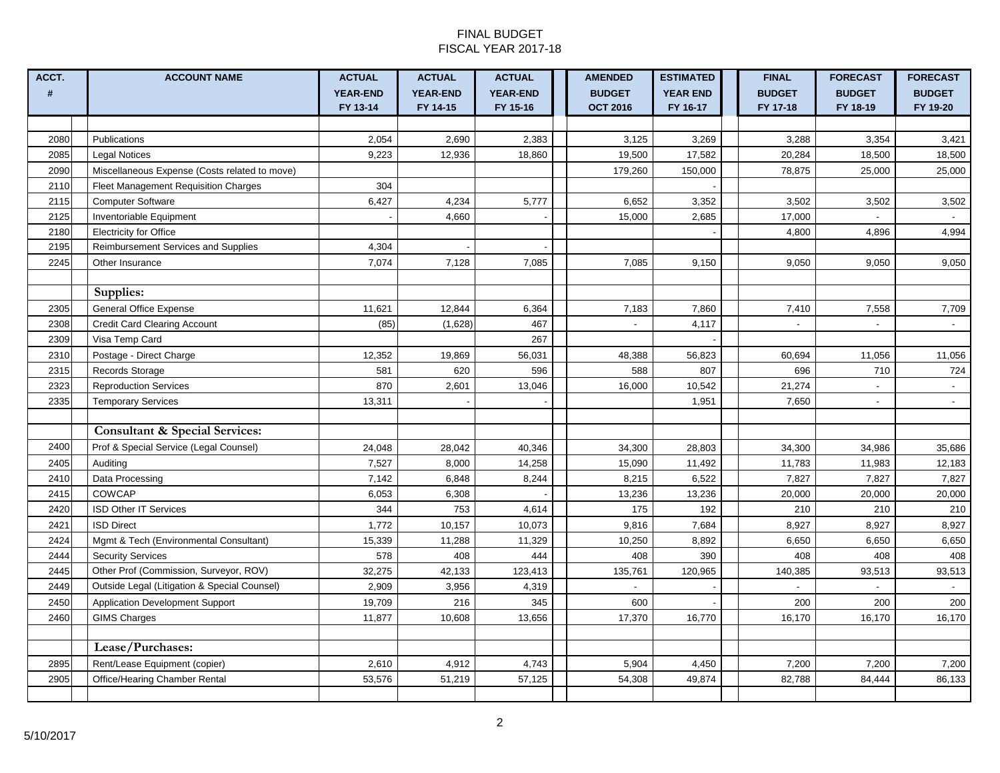#### FINAL BUDGET FISCAL YEAR 2017-18

| ACCT. | <b>ACCOUNT NAME</b>                           | <b>ACTUAL</b>               | <b>ACTUAL</b>               | <b>ACTUAL</b>               | <b>AMENDED</b>                   | <b>ESTIMATED</b>            | <b>FINAL</b>              | <b>FORECAST</b>           | <b>FORECAST</b>           |
|-------|-----------------------------------------------|-----------------------------|-----------------------------|-----------------------------|----------------------------------|-----------------------------|---------------------------|---------------------------|---------------------------|
| #     |                                               | <b>YEAR-END</b><br>FY 13-14 | <b>YEAR-END</b><br>FY 14-15 | <b>YEAR-END</b><br>FY 15-16 | <b>BUDGET</b><br><b>OCT 2016</b> | <b>YEAR END</b><br>FY 16-17 | <b>BUDGET</b><br>FY 17-18 | <b>BUDGET</b><br>FY 18-19 | <b>BUDGET</b><br>FY 19-20 |
|       |                                               |                             |                             |                             |                                  |                             |                           |                           |                           |
| 2080  | Publications                                  | 2,054                       | 2,690                       | 2,383                       | 3,125                            | 3,269                       | 3,288                     | 3,354                     | 3,421                     |
| 2085  | <b>Legal Notices</b>                          | 9,223                       | 12,936                      | 18,860                      | 19,500                           | 17,582                      | 20,284                    | 18,500                    | 18,500                    |
| 2090  | Miscellaneous Expense (Costs related to move) |                             |                             |                             | 179,260                          | 150,000                     | 78,875                    | 25,000                    | 25,000                    |
| 2110  | <b>Fleet Management Requisition Charges</b>   | 304                         |                             |                             |                                  |                             |                           |                           |                           |
| 2115  | <b>Computer Software</b>                      | 6,427                       | 4,234                       | 5,777                       | 6,652                            | 3,352                       | 3,502                     | 3,502                     | 3,502                     |
| 2125  | Inventoriable Equipment                       |                             | 4,660                       |                             | 15,000                           | 2,685                       | 17,000                    |                           |                           |
| 2180  | <b>Electricity for Office</b>                 |                             |                             |                             |                                  |                             | 4,800                     | 4,896                     | 4,994                     |
| 2195  | Reimbursement Services and Supplies           | 4,304                       |                             |                             |                                  |                             |                           |                           |                           |
| 2245  | Other Insurance                               | 7,074                       | 7,128                       | 7,085                       | 7,085                            | 9,150                       | 9,050                     | 9,050                     | 9,050                     |
|       |                                               |                             |                             |                             |                                  |                             |                           |                           |                           |
|       | Supplies:                                     |                             |                             |                             |                                  |                             |                           |                           |                           |
| 2305  | <b>General Office Expense</b>                 | 11,621                      | 12,844                      | 6,364                       | 7,183                            | 7,860                       | 7,410                     | 7,558                     | 7,709                     |
| 2308  | Credit Card Clearing Account                  | (85)                        | (1,628)                     | 467                         | $\overline{a}$                   | 4,117                       | $\sim$                    | $\sim$                    | $\sim$                    |
| 2309  | Visa Temp Card                                |                             |                             | 267                         |                                  |                             |                           |                           |                           |
| 2310  | Postage - Direct Charge                       | 12,352                      | 19,869                      | 56,031                      | 48,388                           | 56,823                      | 60,694                    | 11,056                    | 11,056                    |
| 2315  | Records Storage                               | 581                         | 620                         | 596                         | 588                              | 807                         | 696                       | 710                       | 724                       |
| 2323  | <b>Reproduction Services</b>                  | 870                         | 2,601                       | 13,046                      | 16,000                           | 10,542                      | 21,274                    | $\overline{\phantom{a}}$  | $\sim$                    |
| 2335  | <b>Temporary Services</b>                     | 13,311                      |                             |                             |                                  | 1,951                       | 7,650                     | $\overline{\phantom{a}}$  | $\blacksquare$            |
|       |                                               |                             |                             |                             |                                  |                             |                           |                           |                           |
|       | <b>Consultant &amp; Special Services:</b>     |                             |                             |                             |                                  |                             |                           |                           |                           |
| 2400  | Prof & Special Service (Legal Counsel)        | 24,048                      | 28,042                      | 40,346                      | 34,300                           | 28,803                      | 34,300                    | 34,986                    | 35,686                    |
| 2405  | Auditing                                      | 7,527                       | 8,000                       | 14,258                      | 15,090                           | 11,492                      | 11,783                    | 11,983                    | 12,183                    |
| 2410  | Data Processing                               | 7,142                       | 6,848                       | 8,244                       | 8,215                            | 6,522                       | 7,827                     | 7,827                     | 7,827                     |
| 2415  | <b>COWCAP</b>                                 | 6,053                       | 6,308                       |                             | 13,236                           | 13,236                      | 20,000                    | 20,000                    | 20,000                    |
| 2420  | <b>ISD Other IT Services</b>                  | 344                         | 753                         | 4,614                       | 175                              | 192                         | 210                       | 210                       | 210                       |
| 2421  | <b>ISD Direct</b>                             | 1,772                       | 10,157                      | 10,073                      | 9,816                            | 7,684                       | 8,927                     | 8,927                     | 8,927                     |
| 2424  | Mgmt & Tech (Environmental Consultant)        | 15,339                      | 11,288                      | 11,329                      | 10,250                           | 8,892                       | 6,650                     | 6,650                     | 6,650                     |
| 2444  | <b>Security Services</b>                      | 578                         | 408                         | 444                         | 408                              | 390                         | 408                       | 408                       | 408                       |
| 2445  | Other Prof (Commission, Surveyor, ROV)        | 32,275                      | 42,133                      | 123,413                     | 135,761                          | 120,965                     | 140,385                   | 93,513                    | 93,513                    |
| 2449  | Outside Legal (Litigation & Special Counsel)  | 2,909                       | 3,956                       | 4,319                       |                                  |                             |                           |                           |                           |
| 2450  | <b>Application Development Support</b>        | 19,709                      | 216                         | 345                         | 600                              |                             | 200                       | 200                       | 200                       |
| 2460  | <b>GIMS Charges</b>                           | 11,877                      | 10,608                      | 13,656                      | 17,370                           | 16,770                      | 16,170                    | 16,170                    | 16,170                    |
|       |                                               |                             |                             |                             |                                  |                             |                           |                           |                           |
|       | Lease/Purchases:                              |                             |                             |                             |                                  |                             |                           |                           |                           |
| 2895  | Rent/Lease Equipment (copier)                 | 2,610                       | 4,912                       | 4,743                       | 5,904                            | 4,450                       | 7,200                     | 7,200                     | 7,200                     |
| 2905  | Office/Hearing Chamber Rental                 | 53,576                      | 51,219                      | 57,125                      | 54,308                           | 49,874                      | 82,788                    | 84,444                    | 86,133                    |
|       |                                               |                             |                             |                             |                                  |                             |                           |                           |                           |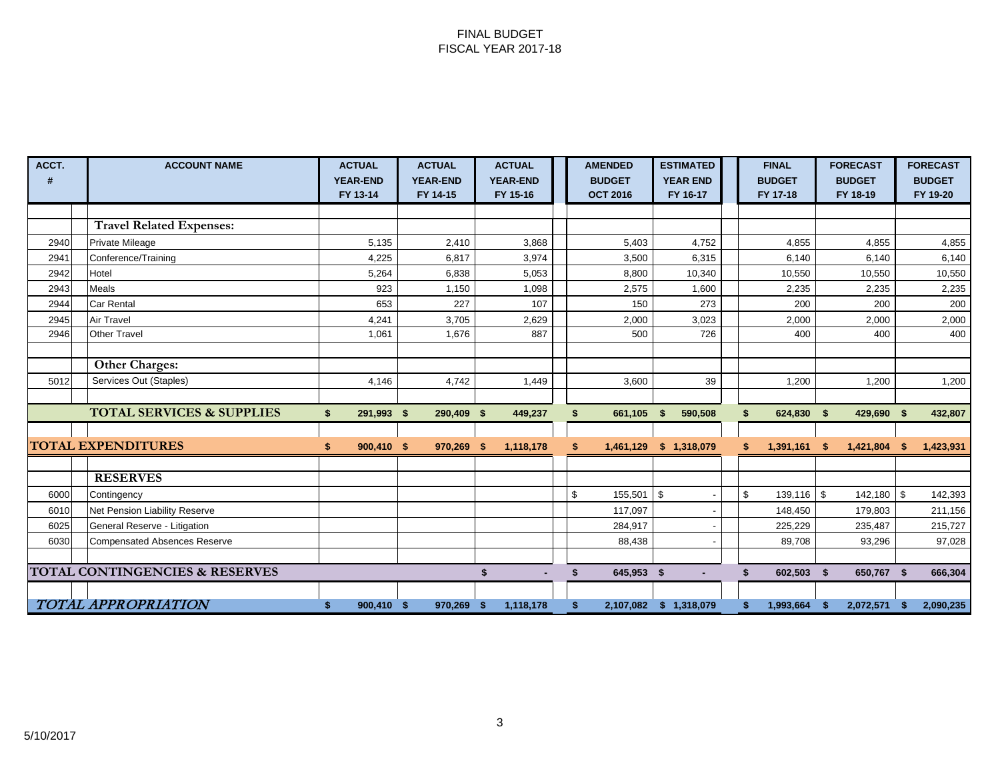#### FINAL BUDGET FISCAL YEAR 2017-18

| ACCT. | <b>ACCOUNT NAME</b>                       | <b>ACTUAL</b><br><b>YEAR-END</b> | <b>ACTUAL</b><br><b>YEAR-END</b> | <b>ACTUAL</b><br><b>YEAR-END</b> | <b>AMENDED</b><br><b>BUDGET</b> | <b>ESTIMATED</b><br><b>YEAR END</b> | <b>FINAL</b><br><b>BUDGET</b> |      | <b>FORECAST</b><br><b>BUDGET</b> |      | <b>FORECAST</b><br><b>BUDGET</b> |
|-------|-------------------------------------------|----------------------------------|----------------------------------|----------------------------------|---------------------------------|-------------------------------------|-------------------------------|------|----------------------------------|------|----------------------------------|
|       |                                           | FY 13-14                         | FY 14-15                         | FY 15-16                         | <b>OCT 2016</b>                 | FY 16-17                            | FY 17-18                      |      | FY 18-19                         |      | FY 19-20                         |
|       |                                           |                                  |                                  |                                  |                                 |                                     |                               |      |                                  |      |                                  |
|       | <b>Travel Related Expenses:</b>           |                                  |                                  |                                  |                                 |                                     |                               |      |                                  |      |                                  |
| 2940  | Private Mileage                           | 5,135                            | 2,410                            | 3,868                            | 5,403                           | 4,752                               | 4,855                         |      | 4,855                            |      | 4,855                            |
| 2941  | Conference/Training                       | 4,225                            | 6,817                            | 3,974                            | 3,500                           | 6,315                               | 6,140                         |      | 6,140                            |      | 6,140                            |
| 2942  | Hotel                                     | 5,264                            | 6,838                            | 5,053                            | 8,800                           | 10,340                              | 10,550                        |      | 10,550                           |      | 10,550                           |
| 2943  | <b>Meals</b>                              | 923                              | 1,150                            | 1,098                            | 2,575                           | 1,600                               | 2,235                         |      | 2,235                            |      | 2,235                            |
| 2944  | <b>Car Rental</b>                         | 653                              | 227                              | 107                              | 150                             | 273                                 | 200                           |      | 200                              |      | 200                              |
| 2945  | <b>Air Travel</b>                         | 4,241                            | 3,705                            | 2,629                            | 2,000                           | 3,023                               | 2,000                         |      | 2,000                            |      | 2,000                            |
| 2946  | <b>Other Travel</b>                       | 1.061                            | 1,676                            | 887                              | 500                             | 726                                 | 400                           |      | 400                              |      | 400                              |
|       |                                           |                                  |                                  |                                  |                                 |                                     |                               |      |                                  |      |                                  |
|       | <b>Other Charges:</b>                     |                                  |                                  |                                  |                                 |                                     |                               |      |                                  |      |                                  |
| 5012  | Services Out (Staples)                    | 4,146                            | 4,742                            | 1,449                            | 3,600                           | 39                                  | 1,200                         |      | 1,200                            |      | 1,200                            |
|       |                                           |                                  |                                  |                                  |                                 |                                     |                               |      |                                  |      |                                  |
|       | <b>TOTAL SERVICES &amp; SUPPLIES</b>      | 291,993 \$<br>\$                 | 290,409 \$                       | 449,237                          | 661,105<br>\$                   | 590,508<br>- \$                     | 624,830 \$<br>\$              |      | 429,690 \$                       |      | 432,807                          |
|       |                                           |                                  |                                  |                                  |                                 |                                     |                               |      |                                  |      |                                  |
|       | <b>TOTAL EXPENDITURES</b>                 | 900,410 \$                       | 970,269 \$                       | 1,118,178                        | 1,461,129                       | \$1,318,079                         | 1,391,161                     | - \$ | 1,421,804                        | - \$ | 1,423,931                        |
|       |                                           |                                  |                                  |                                  |                                 |                                     |                               |      |                                  |      |                                  |
|       | <b>RESERVES</b>                           |                                  |                                  |                                  |                                 |                                     |                               |      |                                  |      |                                  |
| 6000  | Contingency                               |                                  |                                  |                                  | \$<br>155,501                   | \$                                  | \$<br>$139,116$ \$            |      | $142,180$ \$                     |      | 142,393                          |
| 6010  | Net Pension Liability Reserve             |                                  |                                  |                                  | 117,097                         |                                     | 148,450                       |      | 179,803                          |      | 211,156                          |
| 6025  | General Reserve - Litigation              |                                  |                                  |                                  | 284,917                         |                                     | 225,229                       |      | 235,487                          |      | 215,727                          |
| 6030  | <b>Compensated Absences Reserve</b>       |                                  |                                  |                                  | 88,438                          |                                     | 89,708                        |      | 93,296                           |      | 97,028                           |
|       |                                           |                                  |                                  |                                  |                                 |                                     |                               |      |                                  |      |                                  |
|       | <b>TOTAL CONTINGENCIES &amp; RESERVES</b> |                                  |                                  | \$                               | 645,953 \$<br>\$                |                                     | 602,503<br>\$                 | - \$ | 650,767 \$                       |      | 666,304                          |
|       |                                           |                                  |                                  |                                  |                                 |                                     |                               |      |                                  |      |                                  |
|       | <b>TOTAL APPROPRIATION</b>                | 900.410 \$                       | 970,269                          | 1,118,178<br>-9                  |                                 | 2,107,082 \$ 1,318,079              | 1,993,664                     | -\$  | 2,072,571                        | -\$  | 2,090,235                        |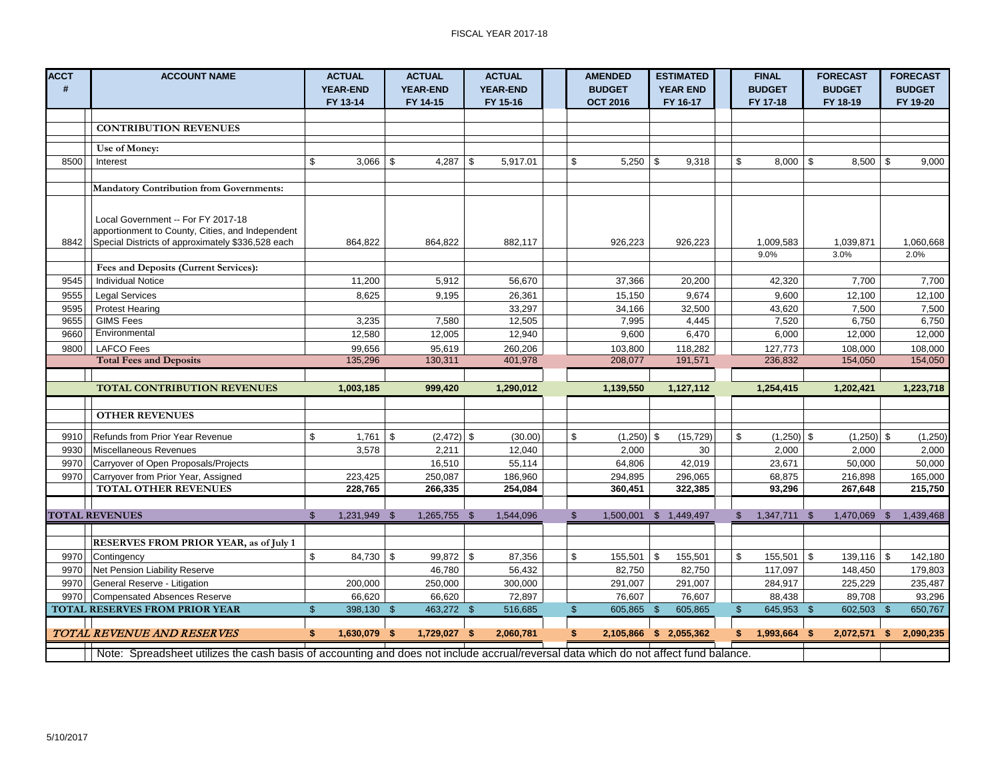| <b>ACCT</b><br># | <b>ACCOUNT NAME</b>                                                                                                                  | <b>ACTUAL</b><br><b>YEAR-END</b> | <b>ACTUAL</b><br><b>YEAR-END</b> | <b>ACTUAL</b><br><b>YEAR-END</b> | <b>AMENDED</b><br><b>BUDGET</b>       | <b>ESTIMATED</b><br><b>YEAR END</b> | <b>FINAL</b><br><b>BUDGET</b> | <b>FORECAST</b><br><b>BUDGET</b> |              | <b>FORECAST</b><br><b>BUDGET</b> |
|------------------|--------------------------------------------------------------------------------------------------------------------------------------|----------------------------------|----------------------------------|----------------------------------|---------------------------------------|-------------------------------------|-------------------------------|----------------------------------|--------------|----------------------------------|
|                  |                                                                                                                                      | FY 13-14                         | FY 14-15                         | FY 15-16                         | <b>OCT 2016</b>                       | FY 16-17                            | FY 17-18                      | FY 18-19                         |              | FY 19-20                         |
|                  |                                                                                                                                      |                                  |                                  |                                  |                                       |                                     |                               |                                  |              |                                  |
|                  | <b>CONTRIBUTION REVENUES</b>                                                                                                         |                                  |                                  |                                  |                                       |                                     |                               |                                  |              |                                  |
|                  | Use of Money:                                                                                                                        |                                  |                                  |                                  |                                       |                                     |                               |                                  |              |                                  |
| 8500             | Interest                                                                                                                             | \$<br>3,066                      | \$<br>$4,287$ \$                 | 5,917.01                         | \$<br>5,250                           | -\$<br>9,318                        | \$<br>$8,000$   \$            | 8,500                            | - \$         | 9,000                            |
|                  |                                                                                                                                      |                                  |                                  |                                  |                                       |                                     |                               |                                  |              |                                  |
|                  | <b>Mandatory Contribution from Governments:</b>                                                                                      |                                  |                                  |                                  |                                       |                                     |                               |                                  |              |                                  |
|                  |                                                                                                                                      |                                  |                                  |                                  |                                       |                                     |                               |                                  |              |                                  |
|                  | Local Government -- For FY 2017-18                                                                                                   |                                  |                                  |                                  |                                       |                                     |                               |                                  |              |                                  |
|                  | apportionment to County, Cities, and Independent                                                                                     |                                  |                                  |                                  |                                       |                                     |                               |                                  |              |                                  |
| 8842             | Special Districts of approximately \$336,528 each                                                                                    | 864,822                          | 864,822                          | 882,117                          | 926,223                               | 926,223                             | 1,009,583                     | 1,039,871                        |              | 1,060,668                        |
|                  |                                                                                                                                      |                                  |                                  |                                  |                                       |                                     | 9.0%                          | 3.0%                             |              | 2.0%                             |
|                  | Fees and Deposits (Current Services):                                                                                                |                                  |                                  |                                  |                                       |                                     |                               |                                  |              |                                  |
| 9545             | <b>Individual Notice</b>                                                                                                             | 11,200                           | 5,912                            | 56,670                           | 37,366                                | 20,200                              | 42,320                        | 7,700                            |              | 7,700                            |
| 9555             | <b>Legal Services</b>                                                                                                                | 8,625                            | 9,195                            | 26,361                           | 15,150                                | 9,674                               | 9,600                         | 12,100                           |              | 12,100                           |
| 9595             | <b>Protest Hearing</b>                                                                                                               |                                  |                                  | 33,297                           | 34,166                                | 32,500                              | 43,620                        | 7,500                            |              | 7,500                            |
| 9655             | <b>GIMS Fees</b>                                                                                                                     | 3,235                            | 7,580                            | 12,505                           | 7,995                                 | 4,445                               | 7,520                         | 6,750                            |              | 6,750                            |
| 9660             | Environmental                                                                                                                        | 12,580                           | 12,005                           | 12,940                           | 9,600                                 | 6,470                               | 6,000                         | 12,000                           |              | 12,000                           |
| 9800             | <b>LAFCO Fees</b>                                                                                                                    | 99,656                           | 95,619                           | 260,206                          | 103,800                               | 118,282                             | 127,773                       | 108,000                          |              | 108,000                          |
|                  | <b>Total Fees and Deposits</b>                                                                                                       | 135,296                          | 130,311                          | 401,978                          | 208,077                               | 191,571                             | 236,832                       | 154,050                          |              | 154,050                          |
|                  |                                                                                                                                      |                                  |                                  |                                  |                                       |                                     |                               |                                  |              |                                  |
|                  | <b>TOTAL CONTRIBUTION REVENUES</b>                                                                                                   | 1,003,185                        | 999,420                          | 1,290,012                        | 1,139,550                             | 1,127,112                           | 1,254,415                     | 1,202,421                        |              | 1,223,718                        |
|                  |                                                                                                                                      |                                  |                                  |                                  |                                       |                                     |                               |                                  |              |                                  |
|                  | <b>OTHER REVENUES</b>                                                                                                                |                                  |                                  |                                  |                                       |                                     |                               |                                  |              |                                  |
| 9910             | <b>Refunds from Prior Year Revenue</b>                                                                                               | \$<br>1,761                      | \$<br>$(2,472)$ \$               | (30.00)                          | \$<br>$(1,250)$ \$                    | (15, 729)                           | \$<br>$(1,250)$ \$            |                                  | $(1,250)$ \$ | (1, 250)                         |
| 9930             | Miscellaneous Revenues                                                                                                               | 3,578                            | 2,211                            | 12,040                           | 2,000                                 | 30                                  | 2,000                         | 2,000                            |              | 2,000                            |
| 9970             | Carryover of Open Proposals/Projects                                                                                                 |                                  | 16,510                           | 55,114                           | 64,806                                | 42,019                              | 23,671                        | 50,000                           |              | 50,000                           |
| 9970             | Carryover from Prior Year, Assigned                                                                                                  | 223,425                          | 250,087                          | 186,960                          | 294,895                               | 296,065                             | 68,875                        | 216,898                          |              | 165,000                          |
|                  | <b>TOTAL OTHER REVENUES</b>                                                                                                          | 228,765                          | 266,335                          | 254,084                          | 360,451                               | 322,385                             | 93,296                        | 267,648                          |              | 215,750                          |
|                  |                                                                                                                                      |                                  |                                  |                                  |                                       |                                     |                               |                                  |              |                                  |
|                  | <b>TOTAL REVENUES</b>                                                                                                                | $\mathfrak{S}$<br>1,231,949 \$   | 1,265,755                        | $\mathfrak{L}$<br>1,544,096      | \$<br>1,500,001                       | \$1,449,497                         | $\mathfrak{S}$<br>1,347,711   | 1,470,069<br>-\$                 | \$           | 1,439,468                        |
|                  |                                                                                                                                      |                                  |                                  |                                  |                                       |                                     |                               |                                  |              |                                  |
|                  | RESERVES FROM PRIOR YEAR, as of July 1                                                                                               |                                  |                                  |                                  |                                       |                                     |                               |                                  |              |                                  |
| 9970             | Contingency                                                                                                                          | \$<br>$84,730$ \$                | $99,872$ \$                      | 87,356                           | \$<br>155,501                         | 155,501<br>- \$                     | \$<br>$155,501$ \$            | $139,116$ \$                     |              | 142,180                          |
| 9970             | Net Pension Liability Reserve                                                                                                        |                                  | 46,780                           | 56,432                           | 82,750                                | 82,750                              | 117,097                       | 148,450                          |              | 179,803                          |
| 9970             | General Reserve - Litigation                                                                                                         | 200,000                          | 250,000                          | 300,000                          | 291,007                               | 291,007                             | 284,917                       | 225,229                          |              | 235,487                          |
| 9970             | Compensated Absences Reserve                                                                                                         | 66,620                           | 66,620                           | 72,897                           | 76,607                                | 76,607                              | 88,438                        | 89,708                           |              | 93,296                           |
|                  | <b>TOTAL RESERVES FROM PRIOR YEAR</b>                                                                                                | $\mathfrak{S}$<br>398,130 \$     | 463,272 \$                       | 516,685                          | $\sqrt[6]{\frac{1}{2}}$<br>605,865 \$ | 605,865                             | $\mathfrak{S}$<br>645,953 \$  | 602,503 \$                       |              | 650,767                          |
|                  |                                                                                                                                      |                                  |                                  |                                  |                                       |                                     |                               |                                  |              |                                  |
|                  | TOTAL REVENUE AND RESERVES                                                                                                           | 1,630,079<br>\$                  | 1,729,027<br>- \$                | 2,060,781<br>- \$                | \$                                    | 2,105,866 \$ 2,055,362              | 1,993,664<br>\$               | 2,072,571<br>- \$                | - \$         | 2,090,235                        |
|                  | Note: Spreadsheet utilizes the cash basis of accounting and does not include accrual/reversal data which do not affect fund balance. |                                  |                                  |                                  |                                       |                                     |                               |                                  |              |                                  |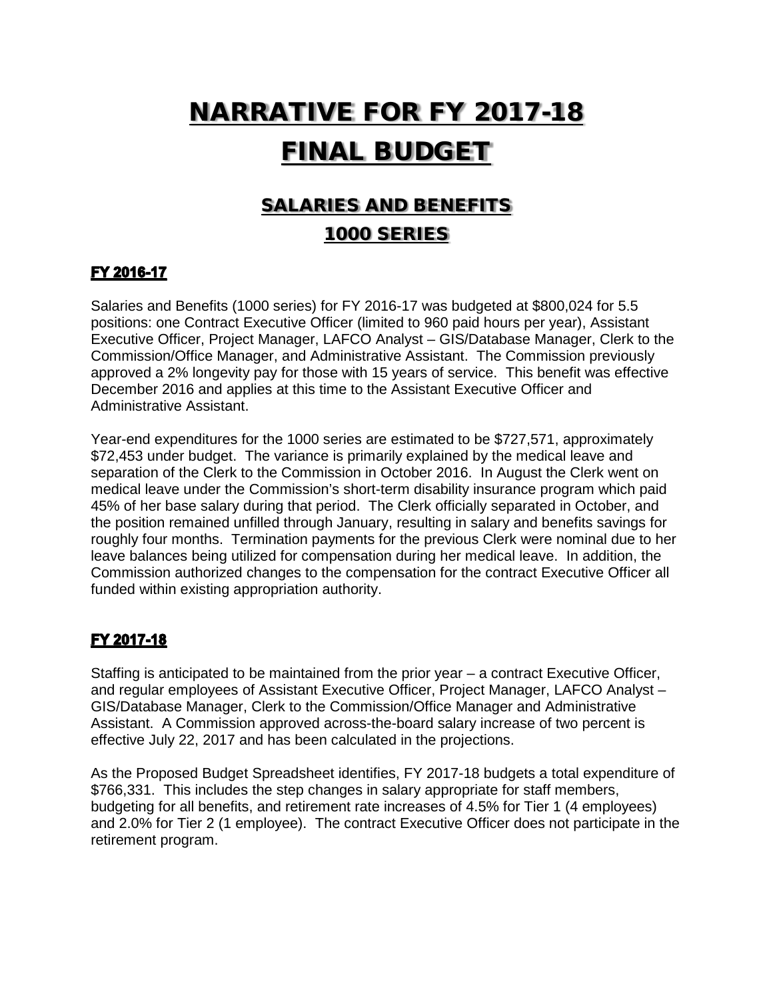# NARRATIVE FOR FY 2017-18 FINAL BUDGET

# SALARIES AND BENEFITS 1000 SERIES

### FY 2016-17

Salaries and Benefits (1000 series) for FY 2016-17 was budgeted at \$800,024 for 5.5 positions: one Contract Executive Officer (limited to 960 paid hours per year), Assistant Executive Officer, Project Manager, LAFCO Analyst – GIS/Database Manager, Clerk to the Commission/Office Manager, and Administrative Assistant. The Commission previously approved a 2% longevity pay for those with 15 years of service. This benefit was effective December 2016 and applies at this time to the Assistant Executive Officer and Administrative Assistant.

Year-end expenditures for the 1000 series are estimated to be \$727,571, approximately \$72,453 under budget. The variance is primarily explained by the medical leave and separation of the Clerk to the Commission in October 2016. In August the Clerk went on medical leave under the Commission's short-term disability insurance program which paid 45% of her base salary during that period. The Clerk officially separated in October, and the position remained unfilled through January, resulting in salary and benefits savings for roughly four months. Termination payments for the previous Clerk were nominal due to her leave balances being utilized for compensation during her medical leave. In addition, the Commission authorized changes to the compensation for the contract Executive Officer all funded within existing appropriation authority.

#### FY 2017-18

Staffing is anticipated to be maintained from the prior year – a contract Executive Officer, and regular employees of Assistant Executive Officer, Project Manager, LAFCO Analyst – GIS/Database Manager, Clerk to the Commission/Office Manager and Administrative Assistant. A Commission approved across-the-board salary increase of two percent is effective July 22, 2017 and has been calculated in the projections.

As the Proposed Budget Spreadsheet identifies, FY 2017-18 budgets a total expenditure of \$766,331. This includes the step changes in salary appropriate for staff members, budgeting for all benefits, and retirement rate increases of 4.5% for Tier 1 (4 employees) and 2.0% for Tier 2 (1 employee). The contract Executive Officer does not participate in the retirement program.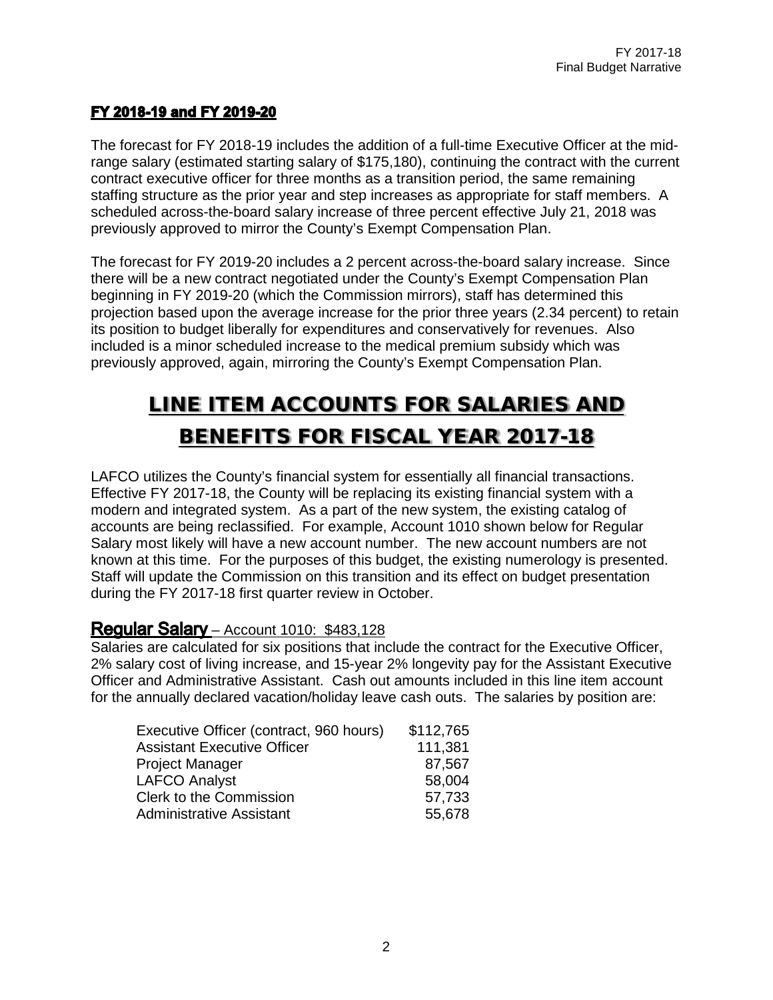### FY 2018-19 and FY 2019-20

The forecast for FY 2018-19 includes the addition of a full-time Executive Officer at the midrange salary (estimated starting salary of \$175,180), continuing the contract with the current contract executive officer for three months as a transition period, the same remaining staffing structure as the prior year and step increases as appropriate for staff members. A scheduled across-the-board salary increase of three percent effective July 21, 2018 was previously approved to mirror the County's Exempt Compensation Plan.

The forecast for FY 2019-20 includes a 2 percent across-the-board salary increase. Since there will be a new contract negotiated under the County's Exempt Compensation Plan beginning in FY 2019-20 (which the Commission mirrors), staff has determined this projection based upon the average increase for the prior three years (2.34 percent) to retain its position to budget liberally for expenditures and conservatively for revenues. Also included is a minor scheduled increase to the medical premium subsidy which was previously approved, again, mirroring the County's Exempt Compensation Plan.

# LINE ITEM ACCOUNTS FOR SALARIES AND BENEFITS FOR FISCAL YEAR 2017-18

LAFCO utilizes the County's financial system for essentially all financial transactions. Effective FY 2017-18, the County will be replacing its existing financial system with a modern and integrated system. As a part of the new system, the existing catalog of accounts are being reclassified. For example, Account 1010 shown below for Regular Salary most likely will have a new account number. The new account numbers are not known at this time. For the purposes of this budget, the existing numerology is presented. Staff will update the Commission on this transition and its effect on budget presentation during the FY 2017-18 first quarter review in October.

### **Regular Salary** – Account 1010: \$483,128

Salaries are calculated for six positions that include the contract for the Executive Officer, 2% salary cost of living increase, and 15-year 2% longevity pay for the Assistant Executive Officer and Administrative Assistant. Cash out amounts included in this line item account for the annually declared vacation/holiday leave cash outs. The salaries by position are:

| Executive Officer (contract, 960 hours) | \$112,765 |
|-----------------------------------------|-----------|
| <b>Assistant Executive Officer</b>      | 111,381   |
| <b>Project Manager</b>                  | 87,567    |
| <b>LAFCO Analyst</b>                    | 58,004    |
| <b>Clerk to the Commission</b>          | 57,733    |
| <b>Administrative Assistant</b>         | 55,678    |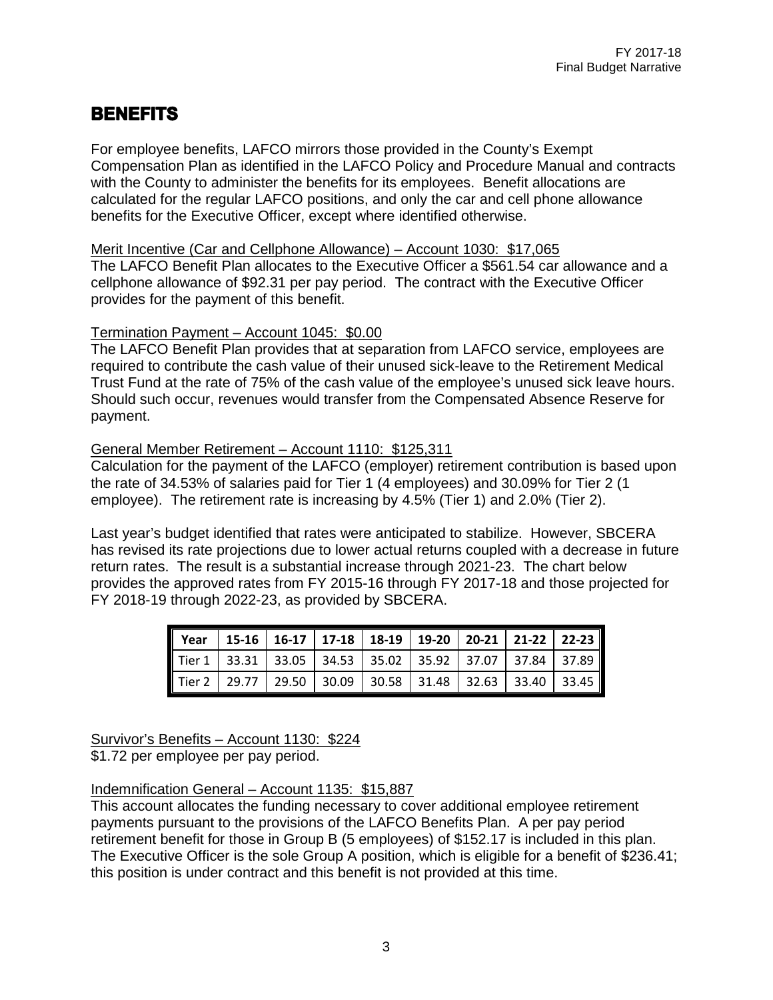## **BENEFITS**

For employee benefits, LAFCO mirrors those provided in the County's Exempt Compensation Plan as identified in the LAFCO Policy and Procedure Manual and contracts with the County to administer the benefits for its employees. Benefit allocations are calculated for the regular LAFCO positions, and only the car and cell phone allowance benefits for the Executive Officer, except where identified otherwise.

#### Merit Incentive (Car and Cellphone Allowance) – Account 1030: \$17,065

The LAFCO Benefit Plan allocates to the Executive Officer a \$561.54 car allowance and a cellphone allowance of \$92.31 per pay period. The contract with the Executive Officer provides for the payment of this benefit.

#### Termination Payment – Account 1045: \$0.00

The LAFCO Benefit Plan provides that at separation from LAFCO service, employees are required to contribute the cash value of their unused sick-leave to the Retirement Medical Trust Fund at the rate of 75% of the cash value of the employee's unused sick leave hours. Should such occur, revenues would transfer from the Compensated Absence Reserve for payment.

#### General Member Retirement – Account 1110: \$125,311

Calculation for the payment of the LAFCO (employer) retirement contribution is based upon the rate of 34.53% of salaries paid for Tier 1 (4 employees) and 30.09% for Tier 2 (1 employee). The retirement rate is increasing by 4.5% (Tier 1) and 2.0% (Tier 2).

Last year's budget identified that rates were anticipated to stabilize. However, SBCERA has revised its rate projections due to lower actual returns coupled with a decrease in future return rates. The result is a substantial increase through 2021-23. The chart below provides the approved rates from FY 2015-16 through FY 2017-18 and those projected for FY 2018-19 through 2022-23, as provided by SBCERA.

| Tier 1 33.31 33.05 34.53 35.02 35.92 37.07 37.84 37.89 |  |  |  |  |
|--------------------------------------------------------|--|--|--|--|
| Tier 2 29.77 29.50 30.09 30.58 31.48 32.63 33.40 33.45 |  |  |  |  |

## Survivor's Benefits – Account 1130: \$224

\$1.72 per employee per pay period.

#### Indemnification General – Account 1135: \$15,887

This account allocates the funding necessary to cover additional employee retirement payments pursuant to the provisions of the LAFCO Benefits Plan. A per pay period retirement benefit for those in Group B (5 employees) of \$152.17 is included in this plan. The Executive Officer is the sole Group A position, which is eligible for a benefit of \$236.41; this position is under contract and this benefit is not provided at this time.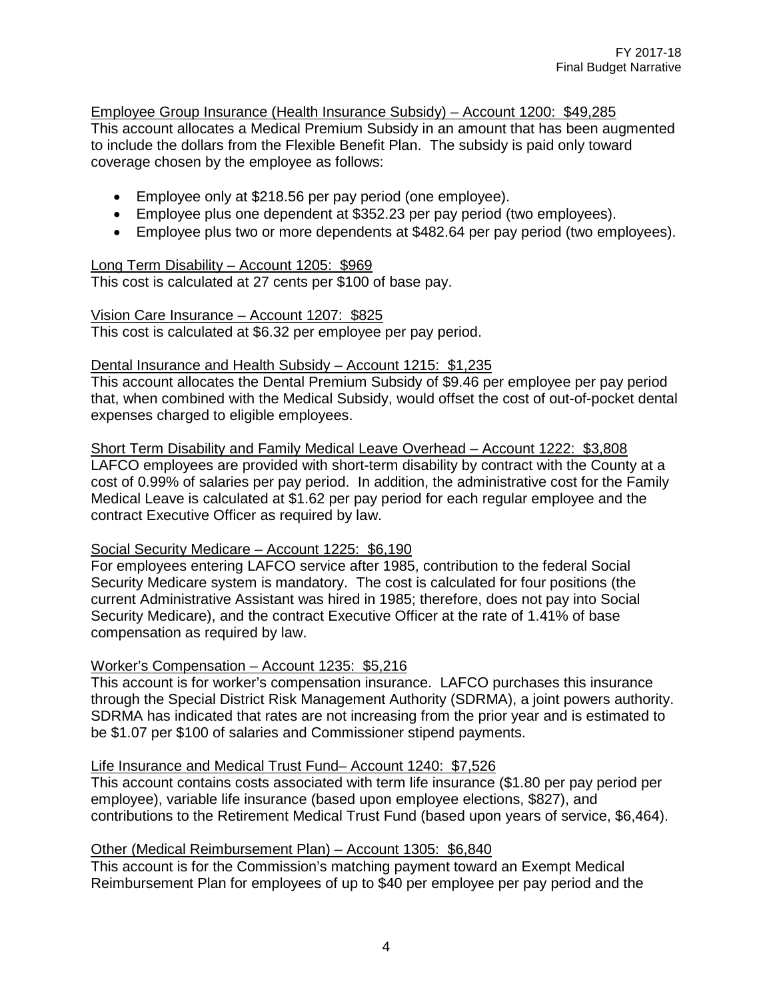Employee Group Insurance (Health Insurance Subsidy) – Account 1200: \$49,285 This account allocates a Medical Premium Subsidy in an amount that has been augmented to include the dollars from the Flexible Benefit Plan. The subsidy is paid only toward coverage chosen by the employee as follows:

- Employee only at \$218.56 per pay period (one employee).
- Employee plus one dependent at \$352.23 per pay period (two employees).
- Employee plus two or more dependents at \$482.64 per pay period (two employees).

#### Long Term Disability – Account 1205: \$969

This cost is calculated at 27 cents per \$100 of base pay.

#### Vision Care Insurance – Account 1207: \$825

This cost is calculated at \$6.32 per employee per pay period.

#### Dental Insurance and Health Subsidy – Account 1215: \$1,235

This account allocates the Dental Premium Subsidy of \$9.46 per employee per pay period that, when combined with the Medical Subsidy, would offset the cost of out-of-pocket dental expenses charged to eligible employees.

Short Term Disability and Family Medical Leave Overhead – Account 1222: \$3,808 LAFCO employees are provided with short-term disability by contract with the County at a cost of 0.99% of salaries per pay period. In addition, the administrative cost for the Family Medical Leave is calculated at \$1.62 per pay period for each regular employee and the contract Executive Officer as required by law.

#### Social Security Medicare – Account 1225: \$6,190

For employees entering LAFCO service after 1985, contribution to the federal Social Security Medicare system is mandatory. The cost is calculated for four positions (the current Administrative Assistant was hired in 1985; therefore, does not pay into Social Security Medicare), and the contract Executive Officer at the rate of 1.41% of base compensation as required by law.

#### Worker's Compensation – Account 1235: \$5,216

This account is for worker's compensation insurance. LAFCO purchases this insurance through the Special District Risk Management Authority (SDRMA), a joint powers authority. SDRMA has indicated that rates are not increasing from the prior year and is estimated to be \$1.07 per \$100 of salaries and Commissioner stipend payments.

#### Life Insurance and Medical Trust Fund– Account 1240: \$7,526

This account contains costs associated with term life insurance (\$1.80 per pay period per employee), variable life insurance (based upon employee elections, \$827), and contributions to the Retirement Medical Trust Fund (based upon years of service, \$6,464).

#### Other (Medical Reimbursement Plan) – Account 1305: \$6,840

This account is for the Commission's matching payment toward an Exempt Medical Reimbursement Plan for employees of up to \$40 per employee per pay period and the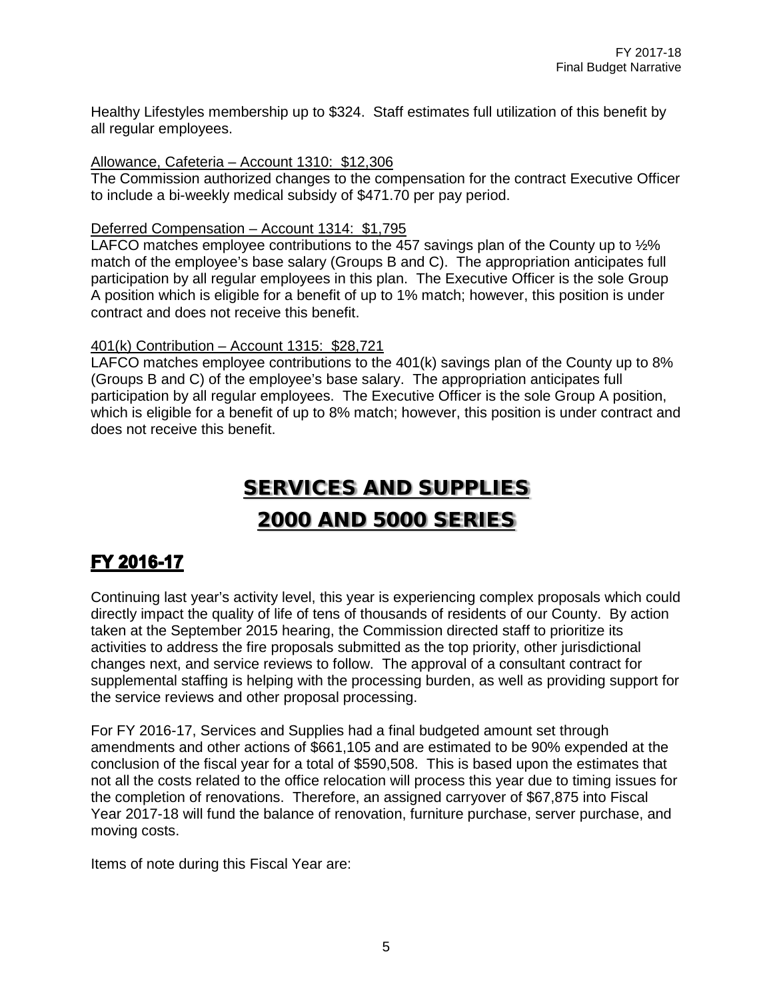Healthy Lifestyles membership up to \$324. Staff estimates full utilization of this benefit by all regular employees.

#### Allowance, Cafeteria – Account 1310: \$12,306

The Commission authorized changes to the compensation for the contract Executive Officer to include a bi-weekly medical subsidy of \$471.70 per pay period.

#### Deferred Compensation – Account 1314: \$1,795

LAFCO matches employee contributions to the 457 savings plan of the County up to  $\frac{1}{2}\%$ match of the employee's base salary (Groups B and C). The appropriation anticipates full participation by all regular employees in this plan. The Executive Officer is the sole Group A position which is eligible for a benefit of up to 1% match; however, this position is under contract and does not receive this benefit.

#### 401(k) Contribution – Account 1315: \$28,721

LAFCO matches employee contributions to the 401(k) savings plan of the County up to 8% (Groups B and C) of the employee's base salary. The appropriation anticipates full participation by all regular employees. The Executive Officer is the sole Group A position, which is eligible for a benefit of up to 8% match; however, this position is under contract and does not receive this benefit.

# SERVICES AND SUPPLIES 2000 AND 5000 SERIES

# FY 2016-17

Continuing last year's activity level, this year is experiencing complex proposals which could directly impact the quality of life of tens of thousands of residents of our County. By action taken at the September 2015 hearing, the Commission directed staff to prioritize its activities to address the fire proposals submitted as the top priority, other jurisdictional changes next, and service reviews to follow. The approval of a consultant contract for supplemental staffing is helping with the processing burden, as well as providing support for the service reviews and other proposal processing.

For FY 2016-17, Services and Supplies had a final budgeted amount set through amendments and other actions of \$661,105 and are estimated to be 90% expended at the conclusion of the fiscal year for a total of \$590,508. This is based upon the estimates that not all the costs related to the office relocation will process this year due to timing issues for the completion of renovations. Therefore, an assigned carryover of \$67,875 into Fiscal Year 2017-18 will fund the balance of renovation, furniture purchase, server purchase, and moving costs.

Items of note during this Fiscal Year are: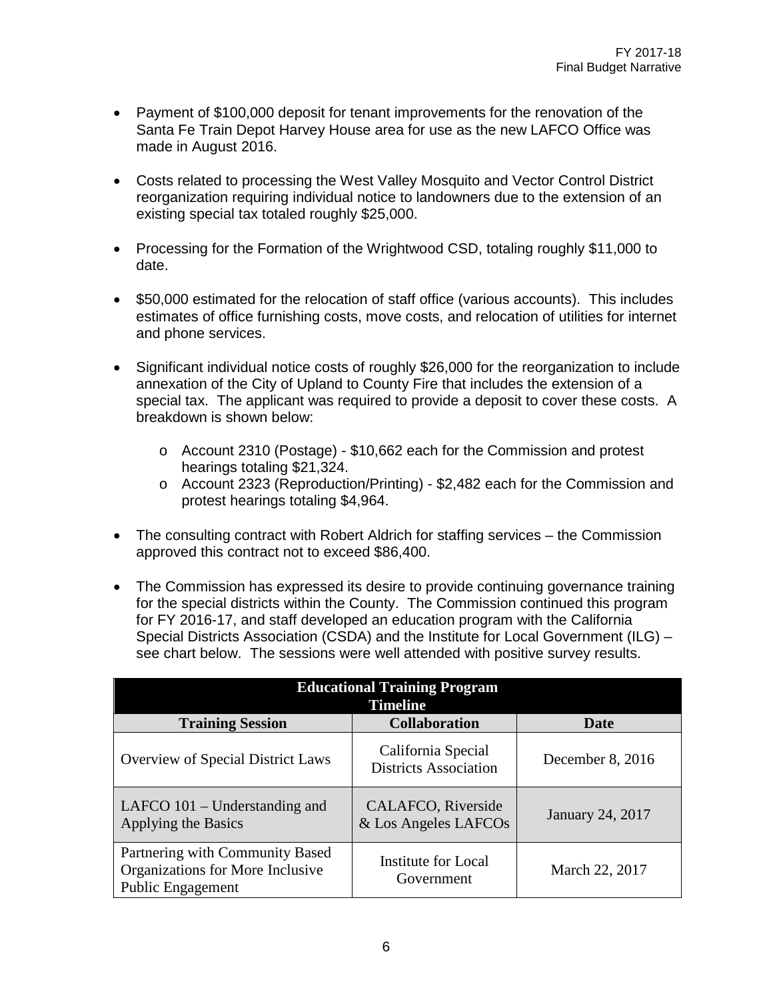- Payment of \$100,000 deposit for tenant improvements for the renovation of the Santa Fe Train Depot Harvey House area for use as the new LAFCO Office was made in August 2016.
- Costs related to processing the West Valley Mosquito and Vector Control District reorganization requiring individual notice to landowners due to the extension of an existing special tax totaled roughly \$25,000.
- Processing for the Formation of the Wrightwood CSD, totaling roughly \$11,000 to date.
- \$50,000 estimated for the relocation of staff office (various accounts). This includes estimates of office furnishing costs, move costs, and relocation of utilities for internet and phone services.
- Significant individual notice costs of roughly \$26,000 for the reorganization to include annexation of the City of Upland to County Fire that includes the extension of a special tax. The applicant was required to provide a deposit to cover these costs. A breakdown is shown below:
	- o Account 2310 (Postage) \$10,662 each for the Commission and protest hearings totaling \$21,324.
	- o Account 2323 (Reproduction/Printing) \$2,482 each for the Commission and protest hearings totaling \$4,964.
- The consulting contract with Robert Aldrich for staffing services the Commission approved this contract not to exceed \$86,400.
- The Commission has expressed its desire to provide continuing governance training for the special districts within the County. The Commission continued this program for FY 2016-17, and staff developed an education program with the California Special Districts Association (CSDA) and the Institute for Local Government (ILG) – see chart below. The sessions were well attended with positive survey results.

| <b>Educational Training Program</b><br><b>Timeline</b>                                   |                                                    |                  |  |  |  |  |  |  |  |  |
|------------------------------------------------------------------------------------------|----------------------------------------------------|------------------|--|--|--|--|--|--|--|--|
| <b>Training Session</b>                                                                  | <b>Collaboration</b>                               | Date             |  |  |  |  |  |  |  |  |
| <b>Overview of Special District Laws</b>                                                 | California Special<br><b>Districts Association</b> | December 8, 2016 |  |  |  |  |  |  |  |  |
| LAFCO 101 – Understanding and<br>Applying the Basics                                     | CALAFCO, Riverside<br>& Los Angeles LAFCOs         | January 24, 2017 |  |  |  |  |  |  |  |  |
| Partnering with Community Based<br>Organizations for More Inclusive<br>Public Engagement | <b>Institute for Local</b><br>Government           | March 22, 2017   |  |  |  |  |  |  |  |  |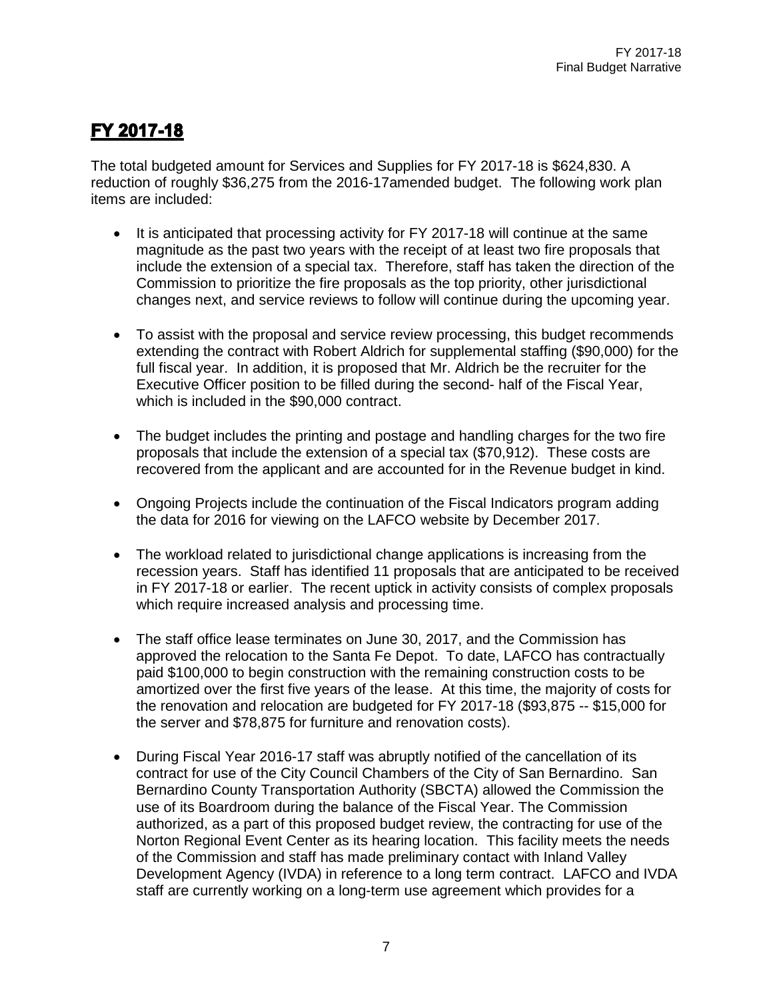# FY 2017-18

The total budgeted amount for Services and Supplies for FY 2017-18 is \$624,830. A reduction of roughly \$36,275 from the 2016-17amended budget. The following work plan items are included:

- It is anticipated that processing activity for FY 2017-18 will continue at the same magnitude as the past two years with the receipt of at least two fire proposals that include the extension of a special tax. Therefore, staff has taken the direction of the Commission to prioritize the fire proposals as the top priority, other jurisdictional changes next, and service reviews to follow will continue during the upcoming year.
- To assist with the proposal and service review processing, this budget recommends extending the contract with Robert Aldrich for supplemental staffing (\$90,000) for the full fiscal year. In addition, it is proposed that Mr. Aldrich be the recruiter for the Executive Officer position to be filled during the second- half of the Fiscal Year, which is included in the \$90,000 contract.
- The budget includes the printing and postage and handling charges for the two fire proposals that include the extension of a special tax (\$70,912). These costs are recovered from the applicant and are accounted for in the Revenue budget in kind.
- Ongoing Projects include the continuation of the Fiscal Indicators program adding the data for 2016 for viewing on the LAFCO website by December 2017.
- The workload related to jurisdictional change applications is increasing from the recession years. Staff has identified 11 proposals that are anticipated to be received in FY 2017-18 or earlier. The recent uptick in activity consists of complex proposals which require increased analysis and processing time.
- The staff office lease terminates on June 30, 2017, and the Commission has approved the relocation to the Santa Fe Depot. To date, LAFCO has contractually paid \$100,000 to begin construction with the remaining construction costs to be amortized over the first five years of the lease. At this time, the majority of costs for the renovation and relocation are budgeted for FY 2017-18 (\$93,875 -- \$15,000 for the server and \$78,875 for furniture and renovation costs).
- During Fiscal Year 2016-17 staff was abruptly notified of the cancellation of its contract for use of the City Council Chambers of the City of San Bernardino. San Bernardino County Transportation Authority (SBCTA) allowed the Commission the use of its Boardroom during the balance of the Fiscal Year. The Commission authorized, as a part of this proposed budget review, the contracting for use of the Norton Regional Event Center as its hearing location. This facility meets the needs of the Commission and staff has made preliminary contact with Inland Valley Development Agency (IVDA) in reference to a long term contract. LAFCO and IVDA staff are currently working on a long-term use agreement which provides for a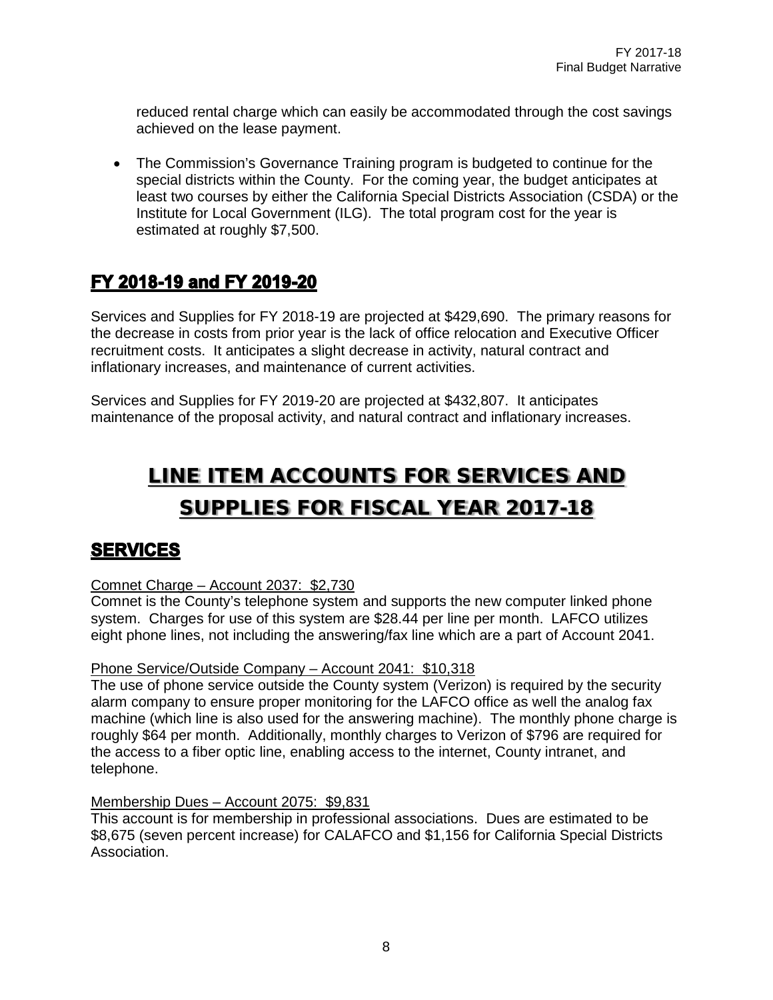reduced rental charge which can easily be accommodated through the cost savings achieved on the lease payment.

• The Commission's Governance Training program is budgeted to continue for the special districts within the County. For the coming year, the budget anticipates at least two courses by either the California Special Districts Association (CSDA) or the Institute for Local Government (ILG). The total program cost for the year is estimated at roughly \$7,500.

## FY 2018-19 and FY 2019-20

Services and Supplies for FY 2018-19 are projected at \$429,690. The primary reasons for the decrease in costs from prior year is the lack of office relocation and Executive Officer recruitment costs. It anticipates a slight decrease in activity, natural contract and inflationary increases, and maintenance of current activities.

Services and Supplies for FY 2019-20 are projected at \$432,807. It anticipates maintenance of the proposal activity, and natural contract and inflationary increases.

# LINE ITEM ACCOUNTS FOR SERVICES AND SUPPLIES FOR FISCAL YEAR 2017-18

### **SERVICES**

#### Comnet Charge – Account 2037: \$2,730

Comnet is the County's telephone system and supports the new computer linked phone system. Charges for use of this system are \$28.44 per line per month. LAFCO utilizes eight phone lines, not including the answering/fax line which are a part of Account 2041.

#### Phone Service/Outside Company – Account 2041: \$10,318

The use of phone service outside the County system (Verizon) is required by the security alarm company to ensure proper monitoring for the LAFCO office as well the analog fax machine (which line is also used for the answering machine). The monthly phone charge is roughly \$64 per month. Additionally, monthly charges to Verizon of \$796 are required for the access to a fiber optic line, enabling access to the internet, County intranet, and telephone.

#### Membership Dues – Account 2075: \$9,831

This account is for membership in professional associations. Dues are estimated to be \$8,675 (seven percent increase) for CALAFCO and \$1,156 for California Special Districts Association.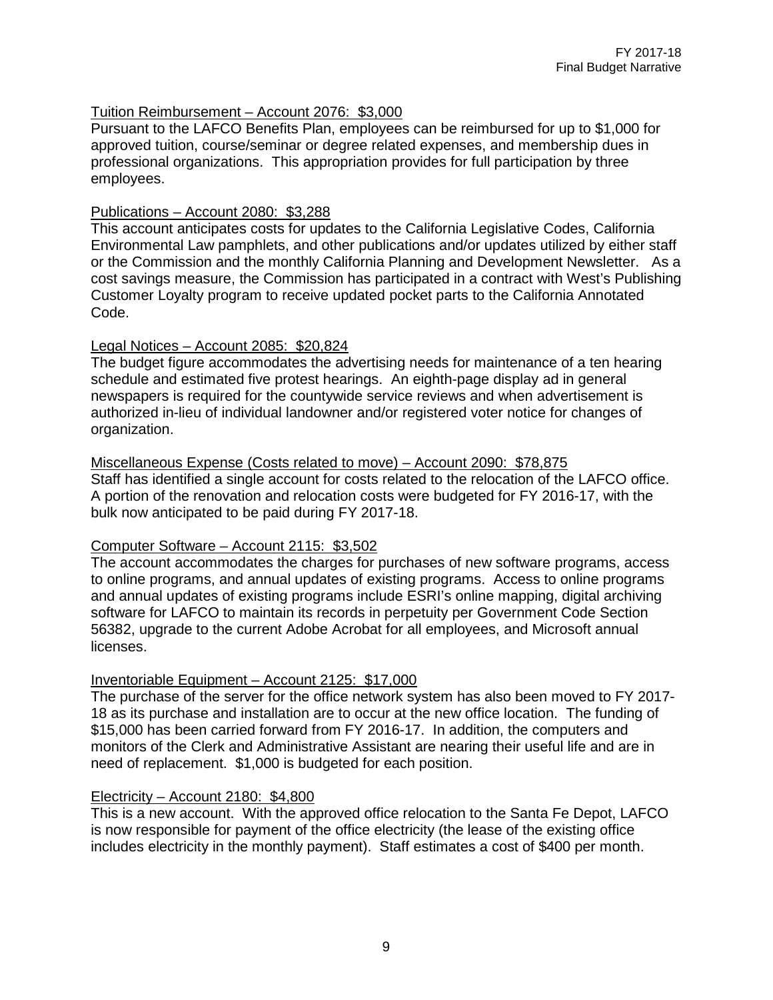#### Tuition Reimbursement – Account 2076: \$3,000

Pursuant to the LAFCO Benefits Plan, employees can be reimbursed for up to \$1,000 for approved tuition, course/seminar or degree related expenses, and membership dues in professional organizations. This appropriation provides for full participation by three employees.

#### Publications – Account 2080: \$3,288

This account anticipates costs for updates to the California Legislative Codes, California Environmental Law pamphlets, and other publications and/or updates utilized by either staff or the Commission and the monthly California Planning and Development Newsletter. As a cost savings measure, the Commission has participated in a contract with West's Publishing Customer Loyalty program to receive updated pocket parts to the California Annotated Code.

#### Legal Notices – Account 2085: \$20,824

The budget figure accommodates the advertising needs for maintenance of a ten hearing schedule and estimated five protest hearings. An eighth-page display ad in general newspapers is required for the countywide service reviews and when advertisement is authorized in-lieu of individual landowner and/or registered voter notice for changes of organization.

# Miscellaneous Expense (Costs related to move) – Account 2090: \$78,875

Staff has identified a single account for costs related to the relocation of the LAFCO office. A portion of the renovation and relocation costs were budgeted for FY 2016-17, with the bulk now anticipated to be paid during FY 2017-18.

#### Computer Software – Account 2115: \$3,502

The account accommodates the charges for purchases of new software programs, access to online programs, and annual updates of existing programs. Access to online programs and annual updates of existing programs include ESRI's online mapping, digital archiving software for LAFCO to maintain its records in perpetuity per Government Code Section 56382, upgrade to the current Adobe Acrobat for all employees, and Microsoft annual licenses.

#### Inventoriable Equipment – Account 2125: \$17,000

The purchase of the server for the office network system has also been moved to FY 2017- 18 as its purchase and installation are to occur at the new office location. The funding of \$15,000 has been carried forward from FY 2016-17. In addition, the computers and monitors of the Clerk and Administrative Assistant are nearing their useful life and are in need of replacement. \$1,000 is budgeted for each position.

#### Electricity – Account 2180: \$4,800

This is a new account. With the approved office relocation to the Santa Fe Depot, LAFCO is now responsible for payment of the office electricity (the lease of the existing office includes electricity in the monthly payment). Staff estimates a cost of \$400 per month.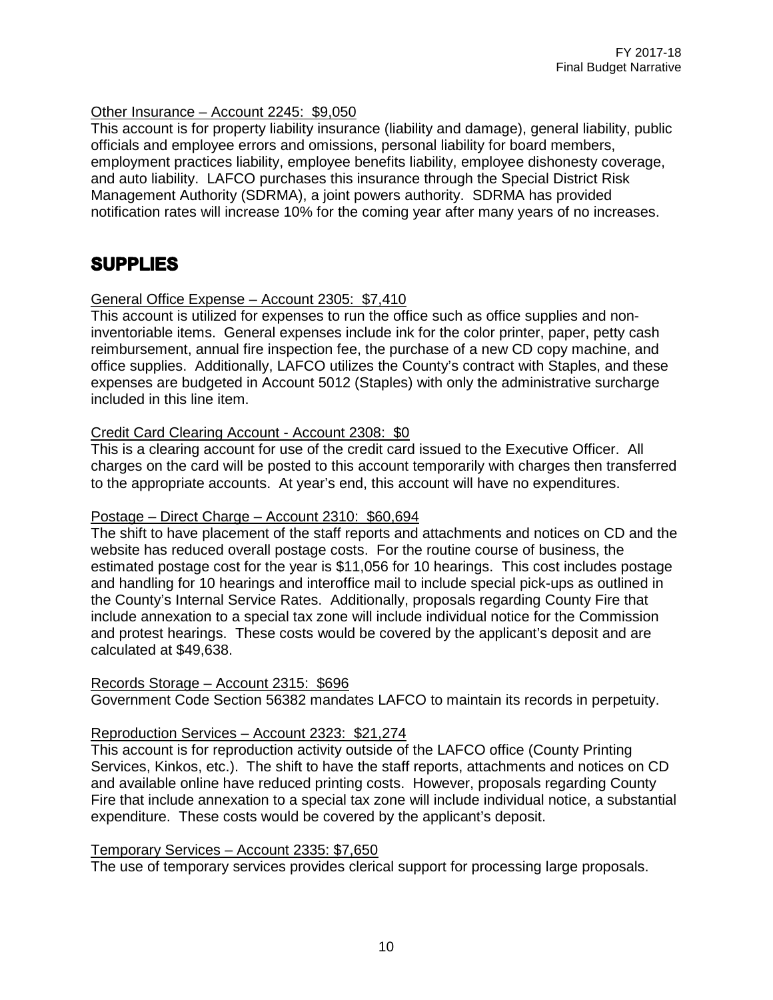#### Other Insurance – Account 2245: \$9,050

This account is for property liability insurance (liability and damage), general liability, public officials and employee errors and omissions, personal liability for board members, employment practices liability, employee benefits liability, employee dishonesty coverage, and auto liability. LAFCO purchases this insurance through the Special District Risk Management Authority (SDRMA), a joint powers authority. SDRMA has provided notification rates will increase 10% for the coming year after many years of no increases.

### **SUPPLIES**

#### General Office Expense – Account 2305: \$7,410

This account is utilized for expenses to run the office such as office supplies and noninventoriable items. General expenses include ink for the color printer, paper, petty cash reimbursement, annual fire inspection fee, the purchase of a new CD copy machine, and office supplies. Additionally, LAFCO utilizes the County's contract with Staples, and these expenses are budgeted in Account 5012 (Staples) with only the administrative surcharge included in this line item.

#### Credit Card Clearing Account - Account 2308: \$0

This is a clearing account for use of the credit card issued to the Executive Officer. All charges on the card will be posted to this account temporarily with charges then transferred to the appropriate accounts. At year's end, this account will have no expenditures.

#### Postage – Direct Charge – Account 2310: \$60,694

The shift to have placement of the staff reports and attachments and notices on CD and the website has reduced overall postage costs. For the routine course of business, the estimated postage cost for the year is \$11,056 for 10 hearings. This cost includes postage and handling for 10 hearings and interoffice mail to include special pick-ups as outlined in the County's Internal Service Rates. Additionally, proposals regarding County Fire that include annexation to a special tax zone will include individual notice for the Commission and protest hearings. These costs would be covered by the applicant's deposit and are calculated at \$49,638.

#### Records Storage – Account 2315: \$696

Government Code Section 56382 mandates LAFCO to maintain its records in perpetuity.

#### Reproduction Services – Account 2323: \$21,274

This account is for reproduction activity outside of the LAFCO office (County Printing Services, Kinkos, etc.). The shift to have the staff reports, attachments and notices on CD and available online have reduced printing costs. However, proposals regarding County Fire that include annexation to a special tax zone will include individual notice, a substantial expenditure. These costs would be covered by the applicant's deposit.

#### Temporary Services – Account 2335: \$7,650

The use of temporary services provides clerical support for processing large proposals.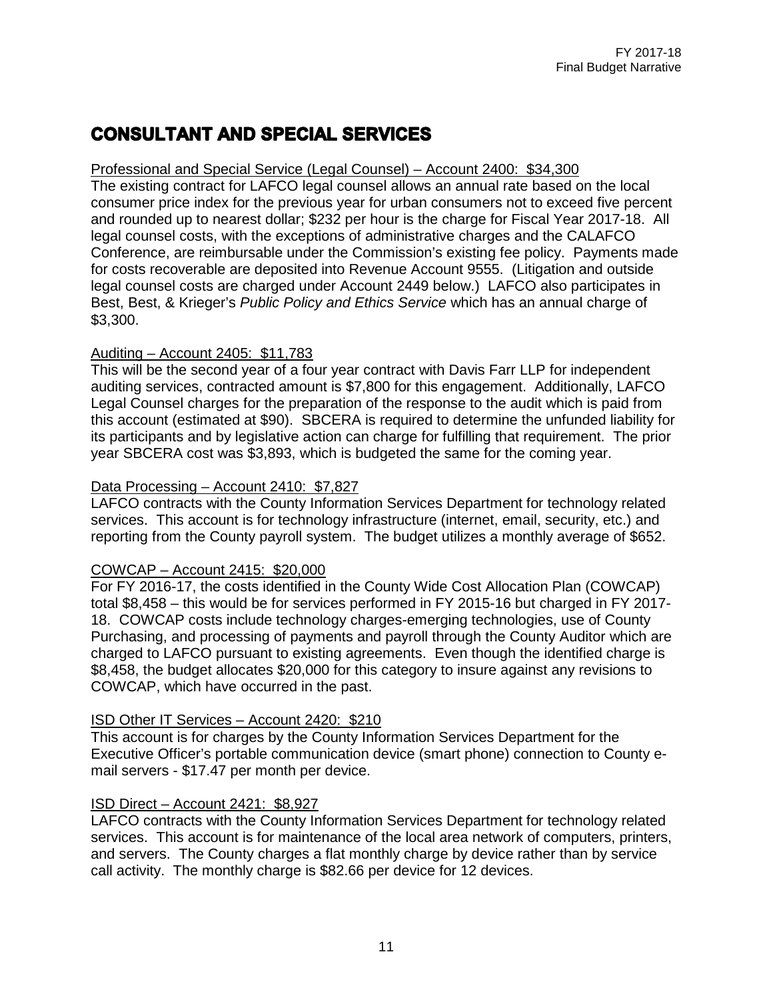# **CONSULTANT AND SPECIAL SERVICES**

#### Professional and Special Service (Legal Counsel) – Account 2400: \$34,300

The existing contract for LAFCO legal counsel allows an annual rate based on the local consumer price index for the previous year for urban consumers not to exceed five percent and rounded up to nearest dollar; \$232 per hour is the charge for Fiscal Year 2017-18. All legal counsel costs, with the exceptions of administrative charges and the CALAFCO Conference, are reimbursable under the Commission's existing fee policy. Payments made for costs recoverable are deposited into Revenue Account 9555. (Litigation and outside legal counsel costs are charged under Account 2449 below.) LAFCO also participates in Best, Best, & Krieger's *Public Policy and Ethics Service* which has an annual charge of \$3,300.

#### Auditing – Account 2405: \$11,783

This will be the second year of a four year contract with Davis Farr LLP for independent auditing services, contracted amount is \$7,800 for this engagement. Additionally, LAFCO Legal Counsel charges for the preparation of the response to the audit which is paid from this account (estimated at \$90). SBCERA is required to determine the unfunded liability for its participants and by legislative action can charge for fulfilling that requirement. The prior year SBCERA cost was \$3,893, which is budgeted the same for the coming year.

#### Data Processing – Account 2410: \$7,827

LAFCO contracts with the County Information Services Department for technology related services. This account is for technology infrastructure (internet, email, security, etc.) and reporting from the County payroll system. The budget utilizes a monthly average of \$652.

#### COWCAP – Account 2415: \$20,000

For FY 2016-17, the costs identified in the County Wide Cost Allocation Plan (COWCAP) total \$8,458 – this would be for services performed in FY 2015-16 but charged in FY 2017- 18. COWCAP costs include technology charges-emerging technologies, use of County Purchasing, and processing of payments and payroll through the County Auditor which are charged to LAFCO pursuant to existing agreements. Even though the identified charge is \$8,458, the budget allocates \$20,000 for this category to insure against any revisions to COWCAP, which have occurred in the past.

#### ISD Other IT Services – Account 2420: \$210

This account is for charges by the County Information Services Department for the Executive Officer's portable communication device (smart phone) connection to County email servers - \$17.47 per month per device.

#### ISD Direct – Account 2421: \$8,927

LAFCO contracts with the County Information Services Department for technology related services. This account is for maintenance of the local area network of computers, printers, and servers. The County charges a flat monthly charge by device rather than by service call activity. The monthly charge is \$82.66 per device for 12 devices.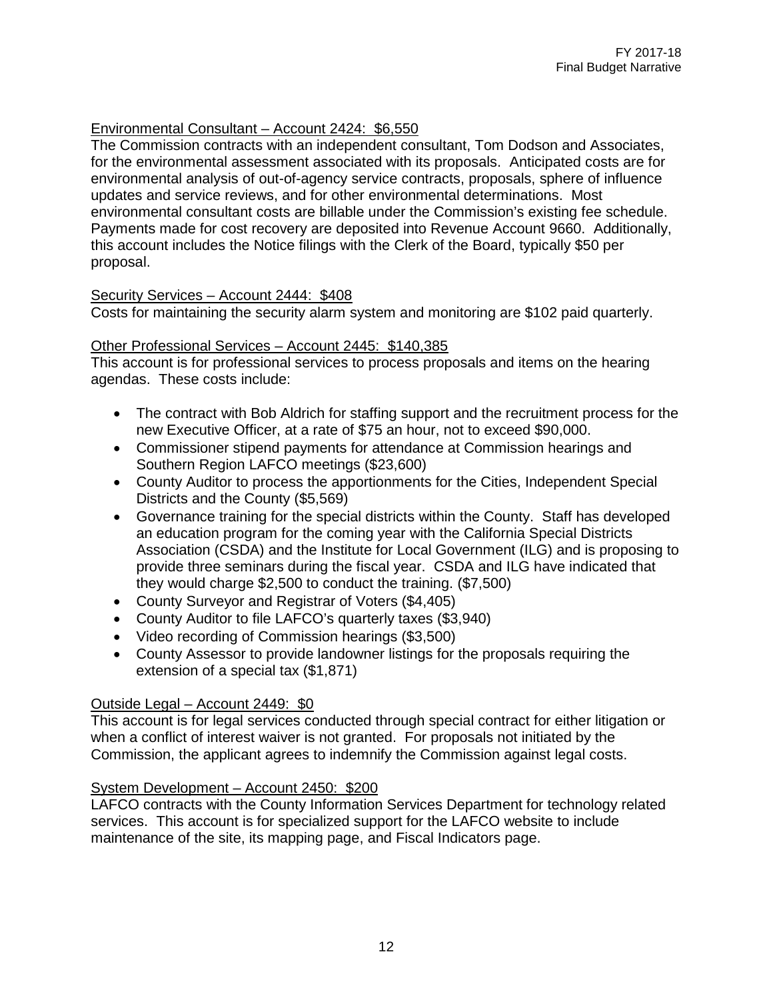#### Environmental Consultant – Account 2424: \$6,550

The Commission contracts with an independent consultant, Tom Dodson and Associates, for the environmental assessment associated with its proposals. Anticipated costs are for environmental analysis of out-of-agency service contracts, proposals, sphere of influence updates and service reviews, and for other environmental determinations. Most environmental consultant costs are billable under the Commission's existing fee schedule. Payments made for cost recovery are deposited into Revenue Account 9660. Additionally, this account includes the Notice filings with the Clerk of the Board, typically \$50 per proposal.

#### Security Services – Account 2444: \$408

Costs for maintaining the security alarm system and monitoring are \$102 paid quarterly.

#### Other Professional Services – Account 2445: \$140,385

This account is for professional services to process proposals and items on the hearing agendas. These costs include:

- The contract with Bob Aldrich for staffing support and the recruitment process for the new Executive Officer, at a rate of \$75 an hour, not to exceed \$90,000.
- Commissioner stipend payments for attendance at Commission hearings and Southern Region LAFCO meetings (\$23,600)
- County Auditor to process the apportionments for the Cities, Independent Special Districts and the County (\$5,569)
- Governance training for the special districts within the County. Staff has developed an education program for the coming year with the California Special Districts Association (CSDA) and the Institute for Local Government (ILG) and is proposing to provide three seminars during the fiscal year. CSDA and ILG have indicated that they would charge \$2,500 to conduct the training. (\$7,500)
- County Surveyor and Registrar of Voters (\$4,405)
- County Auditor to file LAFCO's quarterly taxes (\$3,940)
- Video recording of Commission hearings (\$3,500)
- County Assessor to provide landowner listings for the proposals requiring the extension of a special tax (\$1,871)

#### Outside Legal – Account 2449: \$0

This account is for legal services conducted through special contract for either litigation or when a conflict of interest waiver is not granted. For proposals not initiated by the Commission, the applicant agrees to indemnify the Commission against legal costs.

#### System Development – Account 2450: \$200

LAFCO contracts with the County Information Services Department for technology related services. This account is for specialized support for the LAFCO website to include maintenance of the site, its mapping page, and Fiscal Indicators page.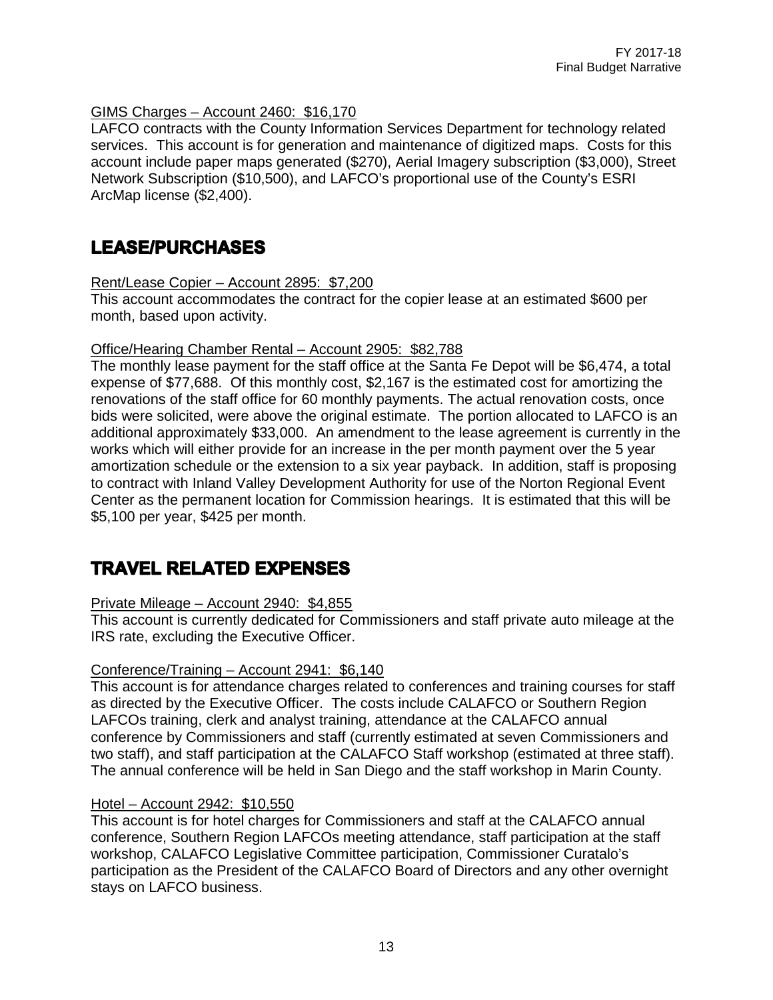#### GIMS Charges – Account 2460: \$16,170

LAFCO contracts with the County Information Services Department for technology related services. This account is for generation and maintenance of digitized maps. Costs for this account include paper maps generated (\$270), Aerial Imagery subscription (\$3,000), Street Network Subscription (\$10,500), and LAFCO's proportional use of the County's ESRI ArcMap license (\$2,400).

### **LEASE/PURCHASES**

Rent/Lease Copier – Account 2895: \$7,200

This account accommodates the contract for the copier lease at an estimated \$600 per month, based upon activity.

#### Office/Hearing Chamber Rental – Account 2905: \$82,788

The monthly lease payment for the staff office at the Santa Fe Depot will be \$6,474, a total expense of \$77,688. Of this monthly cost, \$2,167 is the estimated cost for amortizing the renovations of the staff office for 60 monthly payments. The actual renovation costs, once bids were solicited, were above the original estimate. The portion allocated to LAFCO is an additional approximately \$33,000. An amendment to the lease agreement is currently in the works which will either provide for an increase in the per month payment over the 5 year amortization schedule or the extension to a six year payback. In addition, staff is proposing to contract with Inland Valley Development Authority for use of the Norton Regional Event Center as the permanent location for Commission hearings. It is estimated that this will be \$5,100 per year, \$425 per month.

## **TRAVEL RELATED EXPENSES**

#### Private Mileage – Account 2940: \$4,855

This account is currently dedicated for Commissioners and staff private auto mileage at the IRS rate, excluding the Executive Officer.

#### Conference/Training – Account 2941: \$6,140

This account is for attendance charges related to conferences and training courses for staff as directed by the Executive Officer. The costs include CALAFCO or Southern Region LAFCOs training, clerk and analyst training, attendance at the CALAFCO annual conference by Commissioners and staff (currently estimated at seven Commissioners and two staff), and staff participation at the CALAFCO Staff workshop (estimated at three staff). The annual conference will be held in San Diego and the staff workshop in Marin County.

#### Hotel – Account 2942: \$10,550

This account is for hotel charges for Commissioners and staff at the CALAFCO annual conference, Southern Region LAFCOs meeting attendance, staff participation at the staff workshop, CALAFCO Legislative Committee participation, Commissioner Curatalo's participation as the President of the CALAFCO Board of Directors and any other overnight stays on LAFCO business.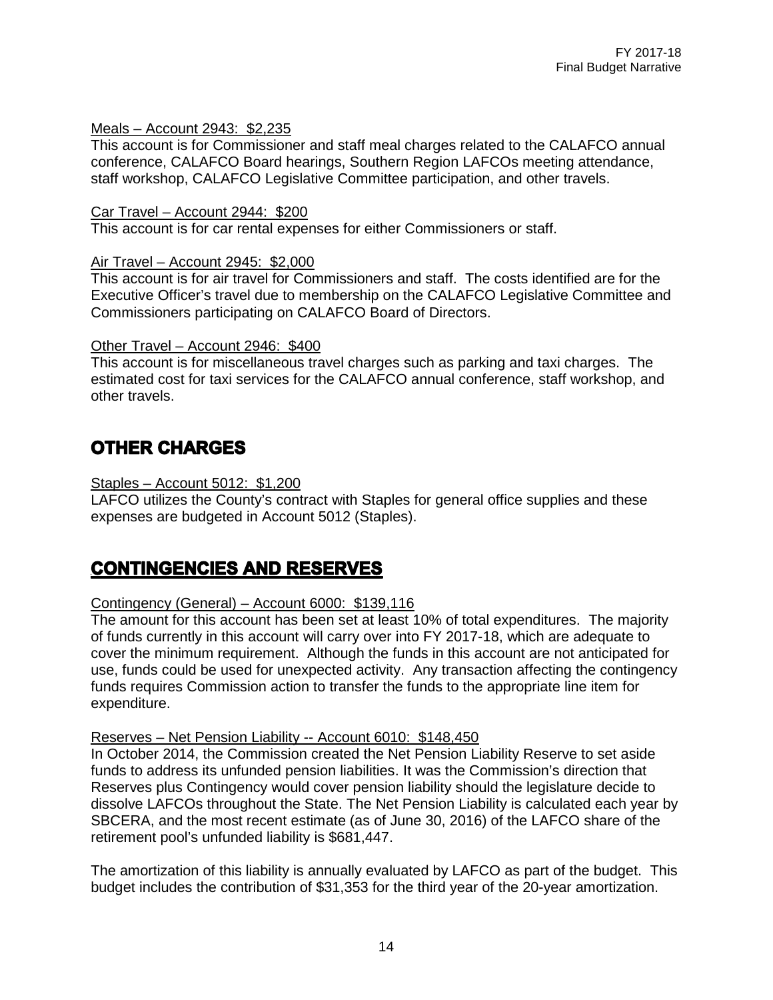#### Meals – Account 2943: \$2,235

This account is for Commissioner and staff meal charges related to the CALAFCO annual conference, CALAFCO Board hearings, Southern Region LAFCOs meeting attendance, staff workshop, CALAFCO Legislative Committee participation, and other travels.

#### Car Travel – Account 2944: \$200

This account is for car rental expenses for either Commissioners or staff.

#### Air Travel – Account 2945: \$2,000

This account is for air travel for Commissioners and staff. The costs identified are for the Executive Officer's travel due to membership on the CALAFCO Legislative Committee and Commissioners participating on CALAFCO Board of Directors.

#### Other Travel – Account 2946: \$400

This account is for miscellaneous travel charges such as parking and taxi charges. The estimated cost for taxi services for the CALAFCO annual conference, staff workshop, and other travels.

# **OTHER CHARGES**

#### Staples – Account 5012: \$1,200

LAFCO utilizes the County's contract with Staples for general office supplies and these expenses are budgeted in Account 5012 (Staples).

## **CONTINGENCIES AND RESERVES**

#### Contingency (General) – Account 6000: \$139,116

The amount for this account has been set at least 10% of total expenditures. The majority of funds currently in this account will carry over into FY 2017-18, which are adequate to cover the minimum requirement. Although the funds in this account are not anticipated for use, funds could be used for unexpected activity. Any transaction affecting the contingency funds requires Commission action to transfer the funds to the appropriate line item for expenditure.

#### Reserves – Net Pension Liability -- Account 6010: \$148,450

In October 2014, the Commission created the Net Pension Liability Reserve to set aside funds to address its unfunded pension liabilities. It was the Commission's direction that Reserves plus Contingency would cover pension liability should the legislature decide to dissolve LAFCOs throughout the State. The Net Pension Liability is calculated each year by SBCERA, and the most recent estimate (as of June 30, 2016) of the LAFCO share of the retirement pool's unfunded liability is \$681,447.

The amortization of this liability is annually evaluated by LAFCO as part of the budget. This budget includes the contribution of \$31,353 for the third year of the 20-year amortization.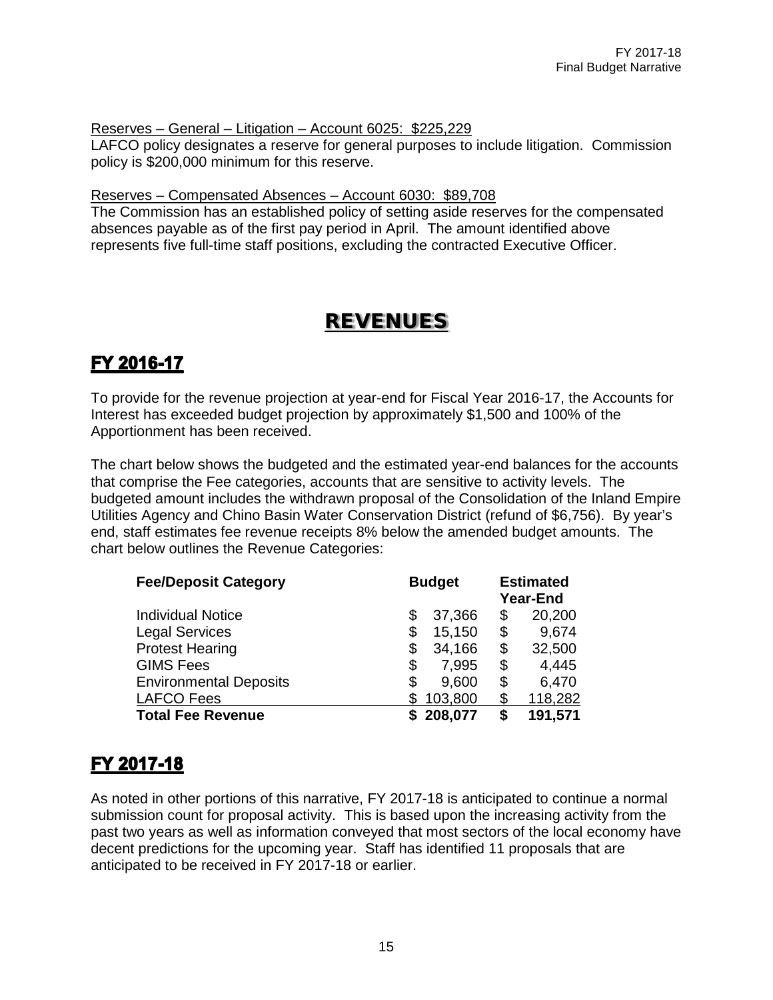Reserves – General – Litigation – Account 6025: \$225,229

LAFCO policy designates a reserve for general purposes to include litigation. Commission policy is \$200,000 minimum for this reserve.

Reserves – Compensated Absences – Account 6030: \$89,708

The Commission has an established policy of setting aside reserves for the compensated absences payable as of the first pay period in April. The amount identified above represents five full-time staff positions, excluding the contracted Executive Officer.

# REVENUES

# FY 2016-17

To provide for the revenue projection at year-end for Fiscal Year 2016-17, the Accounts for Interest has exceeded budget projection by approximately \$1,500 and 100% of the Apportionment has been received.

The chart below shows the budgeted and the estimated year-end balances for the accounts that comprise the Fee categories, accounts that are sensitive to activity levels. The budgeted amount includes the withdrawn proposal of the Consolidation of the Inland Empire Utilities Agency and Chino Basin Water Conservation District (refund of \$6,756). By year's end, staff estimates fee revenue receipts 8% below the amended budget amounts. The chart below outlines the Revenue Categories:

| <b>Fee/Deposit Category</b>   | <b>Budget</b> |           |    | <b>Estimated</b><br><b>Year-End</b> |  |  |  |
|-------------------------------|---------------|-----------|----|-------------------------------------|--|--|--|
| <b>Individual Notice</b>      | \$            | 37,366    | \$ | 20,200                              |  |  |  |
| <b>Legal Services</b>         | \$            | 15,150    | \$ | 9,674                               |  |  |  |
| <b>Protest Hearing</b>        | \$            | 34,166    | \$ | 32,500                              |  |  |  |
| <b>GIMS Fees</b>              | \$            | 7,995     | \$ | 4,445                               |  |  |  |
| <b>Environmental Deposits</b> | \$            | 9,600     | \$ | 6,470                               |  |  |  |
| <b>LAFCO Fees</b>             |               | 103,800   | \$ | 118,282                             |  |  |  |
| <b>Total Fee Revenue</b>      |               | \$208,077 | S  | 191,571                             |  |  |  |

# FY 2017-18

As noted in other portions of this narrative, FY 2017-18 is anticipated to continue a normal submission count for proposal activity. This is based upon the increasing activity from the past two years as well as information conveyed that most sectors of the local economy have decent predictions for the upcoming year. Staff has identified 11 proposals that are anticipated to be received in FY 2017-18 or earlier.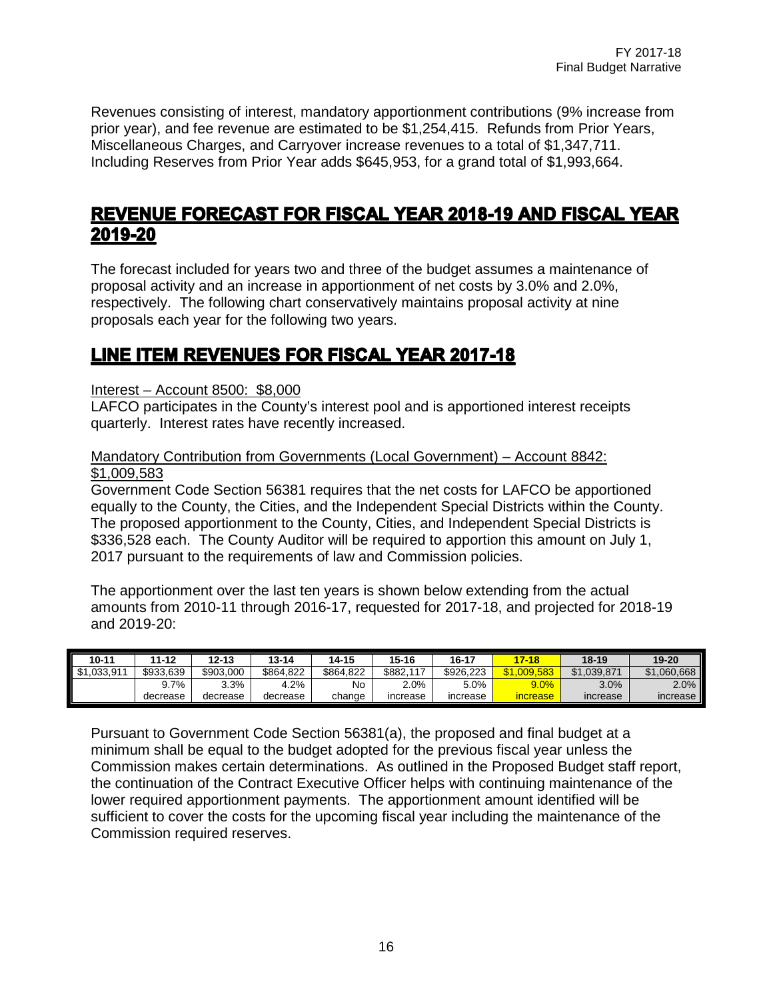Revenues consisting of interest, mandatory apportionment contributions (9% increase from prior year), and fee revenue are estimated to be \$1,254,415. Refunds from Prior Years, Miscellaneous Charges, and Carryover increase revenues to a total of \$1,347,711. Including Reserves from Prior Year adds \$645,953, for a grand total of \$1,993,664.

### **REVENUE FORECAST FOR FISCAL YEAR 2018-19 AND FISCAL YEAR** 2019-20

The forecast included for years two and three of the budget assumes a maintenance of proposal activity and an increase in apportionment of net costs by 3.0% and 2.0%, respectively. The following chart conservatively maintains proposal activity at nine proposals each year for the following two years.

### **LINE ITEM REVENUES FOR FISCAL YEAR 2017-18**

Interest – Account 8500: \$8,000

LAFCO participates in the County's interest pool and is apportioned interest receipts quarterly. Interest rates have recently increased.

#### Mandatory Contribution from Governments (Local Government) – Account 8842: \$1,009,583

Government Code Section 56381 requires that the net costs for LAFCO be apportioned equally to the County, the Cities, and the Independent Special Districts within the County. The proposed apportionment to the County, Cities, and Independent Special Districts is \$336,528 each. The County Auditor will be required to apportion this amount on July 1, 2017 pursuant to the requirements of law and Commission policies.

The apportionment over the last ten years is shown below extending from the actual amounts from 2010-11 through 2016-17, requested for 2017-18, and projected for 2018-19 and 2019-20:

| $10 - 11$   | 11-12     | 12-13     | $13 - 14$ | 14-15     | $15 - 16$ | 16-17     | $17 - 18$   | 18-19       | 19-20           |
|-------------|-----------|-----------|-----------|-----------|-----------|-----------|-------------|-------------|-----------------|
| \$1,033,911 | \$933.639 | \$903.000 | \$864.822 | \$864.822 | \$882.    | \$926.223 | \$1.009.583 | \$1.039.871 | \$1,060,668     |
|             | .7%       | 3.3%      | 4.2%      | No        | $2.0\%$   | 5.0%      | 9.0%        | 3.0%        | 2.0%            |
|             | decrease  | decrease  | decrease  | change    | increase  | increase  | increase    | increase    | <b>Increase</b> |

Pursuant to Government Code Section 56381(a), the proposed and final budget at a minimum shall be equal to the budget adopted for the previous fiscal year unless the Commission makes certain determinations. As outlined in the Proposed Budget staff report, the continuation of the Contract Executive Officer helps with continuing maintenance of the lower required apportionment payments. The apportionment amount identified will be sufficient to cover the costs for the upcoming fiscal year including the maintenance of the Commission required reserves.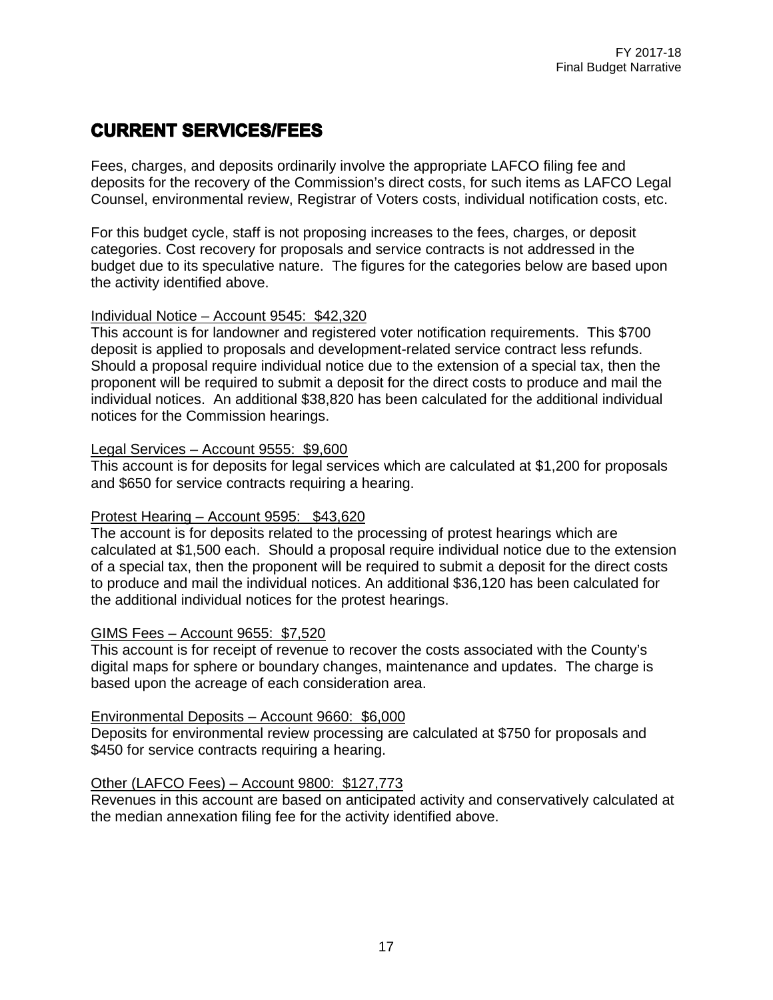# **CURRENT SERVICES/FEES**

Fees, charges, and deposits ordinarily involve the appropriate LAFCO filing fee and deposits for the recovery of the Commission's direct costs, for such items as LAFCO Legal Counsel, environmental review, Registrar of Voters costs, individual notification costs, etc.

For this budget cycle, staff is not proposing increases to the fees, charges, or deposit categories. Cost recovery for proposals and service contracts is not addressed in the budget due to its speculative nature. The figures for the categories below are based upon the activity identified above.

#### Individual Notice – Account 9545: \$42,320

This account is for landowner and registered voter notification requirements. This \$700 deposit is applied to proposals and development-related service contract less refunds. Should a proposal require individual notice due to the extension of a special tax, then the proponent will be required to submit a deposit for the direct costs to produce and mail the individual notices. An additional \$38,820 has been calculated for the additional individual notices for the Commission hearings.

#### Legal Services – Account 9555: \$9,600

This account is for deposits for legal services which are calculated at \$1,200 for proposals and \$650 for service contracts requiring a hearing.

#### Protest Hearing – Account 9595: \$43,620

The account is for deposits related to the processing of protest hearings which are calculated at \$1,500 each. Should a proposal require individual notice due to the extension of a special tax, then the proponent will be required to submit a deposit for the direct costs to produce and mail the individual notices. An additional \$36,120 has been calculated for the additional individual notices for the protest hearings.

#### GIMS Fees – Account 9655: \$7,520

This account is for receipt of revenue to recover the costs associated with the County's digital maps for sphere or boundary changes, maintenance and updates. The charge is based upon the acreage of each consideration area.

#### Environmental Deposits – Account 9660: \$6,000

Deposits for environmental review processing are calculated at \$750 for proposals and \$450 for service contracts requiring a hearing.

#### Other (LAFCO Fees) – Account 9800: \$127,773

Revenues in this account are based on anticipated activity and conservatively calculated at the median annexation filing fee for the activity identified above.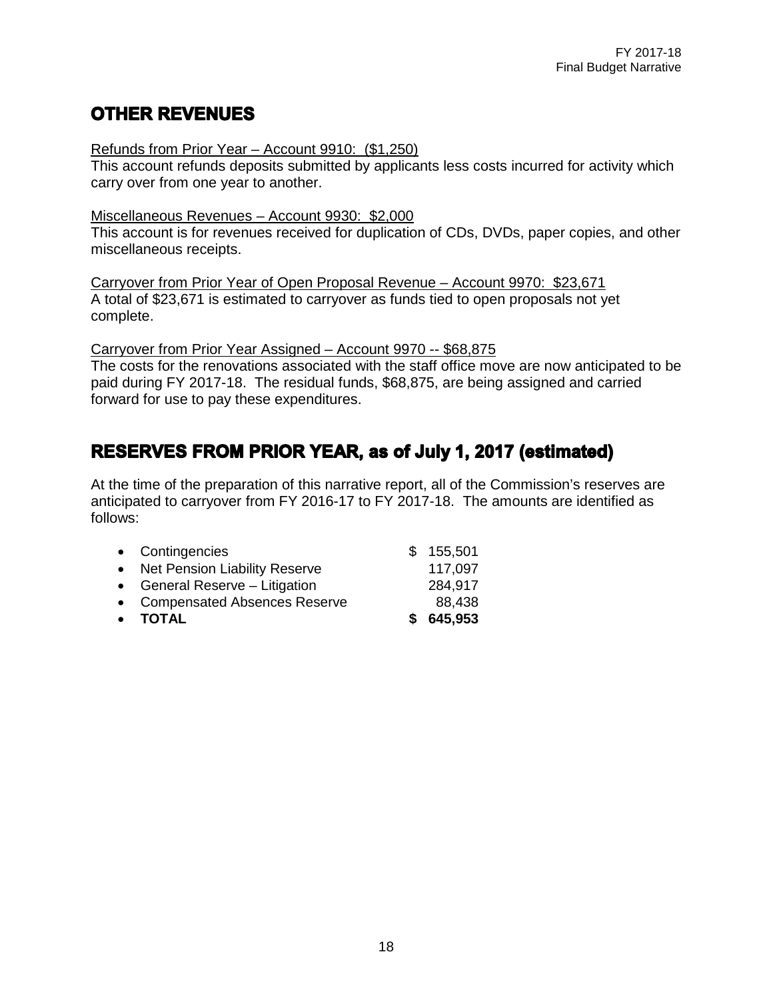# **OTHER REVENUES**

#### Refunds from Prior Year – Account 9910: (\$1,250)

This account refunds deposits submitted by applicants less costs incurred for activity which carry over from one year to another.

#### Miscellaneous Revenues – Account 9930: \$2,000

This account is for revenues received for duplication of CDs, DVDs, paper copies, and other miscellaneous receipts.

Carryover from Prior Year of Open Proposal Revenue – Account 9970: \$23,671 A total of \$23,671 is estimated to carryover as funds tied to open proposals not yet complete.

Carryover from Prior Year Assigned – Account 9970 -- \$68,875

The costs for the renovations associated with the staff office move are now anticipated to be paid during FY 2017-18. The residual funds, \$68,875, are being assigned and carried forward for use to pay these expenditures.

# **RESERVES FROM PRIOR YEAR, as of July 1, 2017 (estimated)**

At the time of the preparation of this narrative report, all of the Commission's reserves are anticipated to carryover from FY 2016-17 to FY 2017-18. The amounts are identified as follows:

| • Compensated Absences Reserve<br>• TOTAL | 88,438<br>\$645,953 |
|-------------------------------------------|---------------------|
|                                           |                     |
| • General Reserve – Litigation            | 284,917             |
| • Net Pension Liability Reserve           | 117,097             |
| • Contingencies                           | \$155,501           |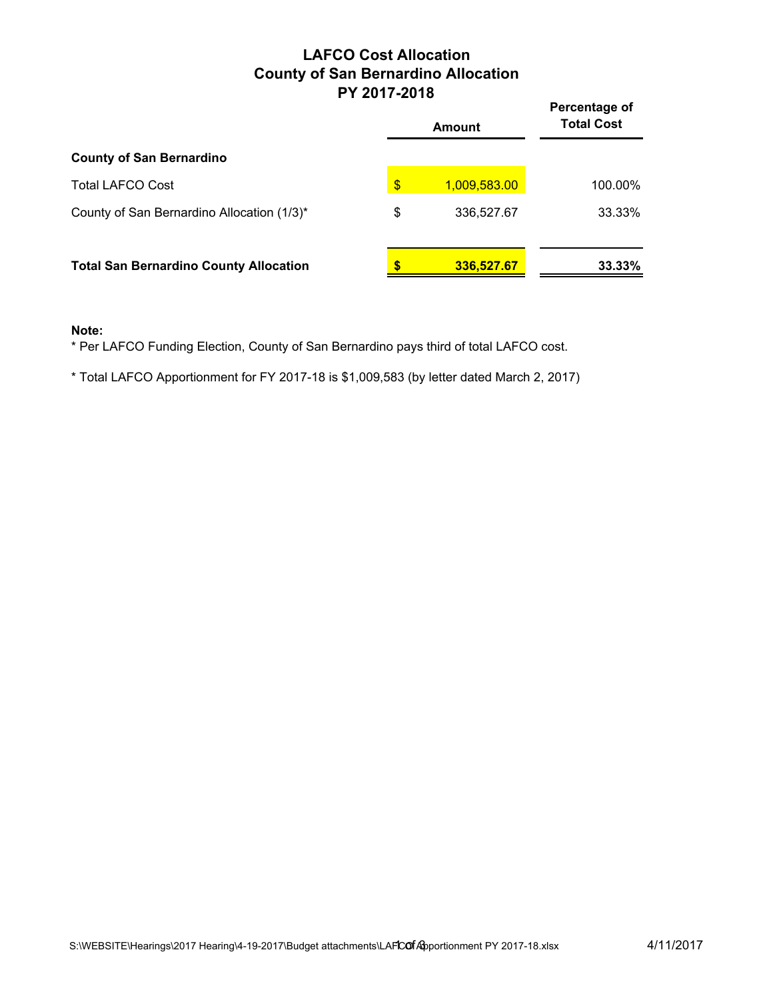### **LAFCO Cost Allocation County of San Bernardino Allocation PY 2017-2018**

|                                               | FI 4011-4010  |              | Percentage of     |
|-----------------------------------------------|---------------|--------------|-------------------|
|                                               |               | Amount       | <b>Total Cost</b> |
| <b>County of San Bernardino</b>               |               |              |                   |
| <b>Total LAFCO Cost</b>                       | $\frac{1}{2}$ | 1,009,583.00 | 100.00%           |
| County of San Bernardino Allocation (1/3)*    | \$            | 336,527.67   | 33.33%            |
| <b>Total San Bernardino County Allocation</b> |               | 336,527.67   | 33.33%            |

#### **Note:**

\* Per LAFCO Funding Election, County of San Bernardino pays third of total LAFCO cost.

\* Total LAFCO Apportionment for FY 2017-18 is \$1,009,583 (by letter dated March 2, 2017)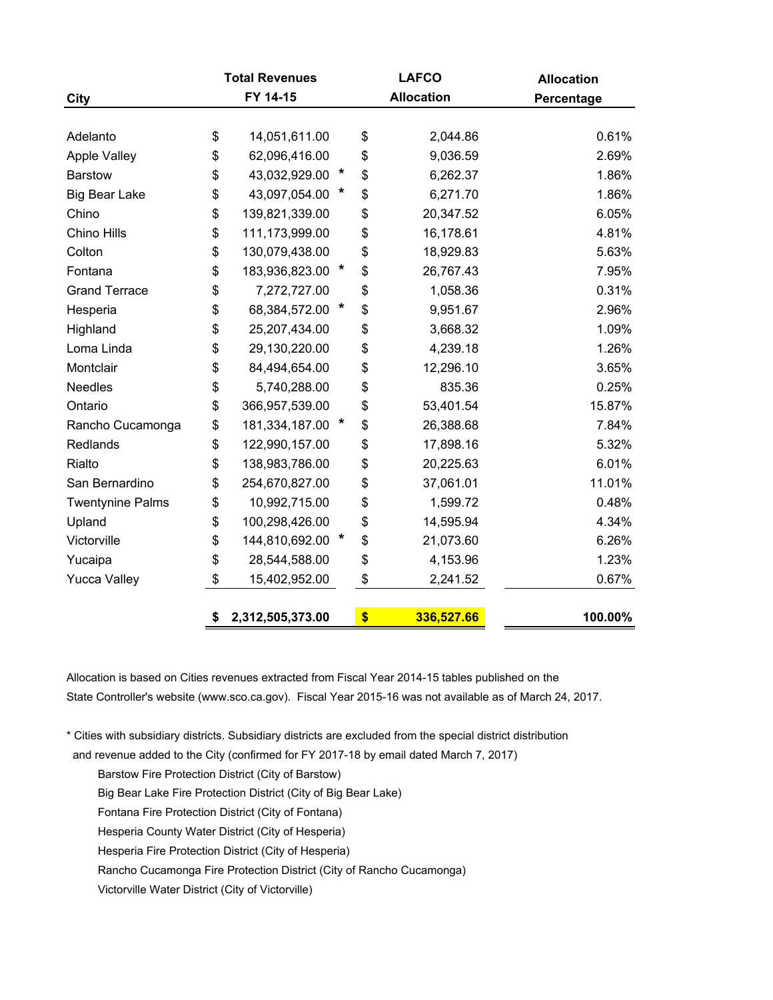|                         | <b>Total Revenues</b>  |         | <b>LAFCO</b>      | <b>Allocation</b> |
|-------------------------|------------------------|---------|-------------------|-------------------|
| <b>City</b>             | FY 14-15               |         | <b>Allocation</b> | Percentage        |
|                         |                        |         |                   |                   |
| Adelanto                | \$<br>14,051,611.00    |         | \$<br>2,044.86    | 0.61%             |
| Apple Valley            | \$<br>62,096,416.00    |         | \$<br>9,036.59    | 2.69%             |
| <b>Barstow</b>          | \$<br>43,032,929.00    | $\star$ | \$<br>6,262.37    | 1.86%             |
| <b>Big Bear Lake</b>    | \$<br>43,097,054.00    | *       | \$<br>6,271.70    | 1.86%             |
| Chino                   | \$<br>139,821,339.00   |         | \$<br>20,347.52   | 6.05%             |
| Chino Hills             | \$<br>111,173,999.00   |         | \$<br>16,178.61   | 4.81%             |
| Colton                  | \$<br>130,079,438.00   |         | \$<br>18,929.83   | 5.63%             |
| Fontana                 | \$<br>183,936,823.00   | $\ast$  | \$<br>26,767.43   | 7.95%             |
| <b>Grand Terrace</b>    | \$<br>7,272,727.00     |         | \$<br>1,058.36    | 0.31%             |
| Hesperia                | \$<br>68,384,572.00    | *       | \$<br>9,951.67    | 2.96%             |
| Highland                | \$<br>25,207,434.00    |         | \$<br>3,668.32    | 1.09%             |
| Loma Linda              | \$<br>29,130,220.00    |         | \$<br>4,239.18    | 1.26%             |
| Montclair               | \$<br>84,494,654.00    |         | \$<br>12,296.10   | 3.65%             |
| <b>Needles</b>          | \$<br>5,740,288.00     |         | \$<br>835.36      | 0.25%             |
| Ontario                 | \$<br>366,957,539.00   |         | \$<br>53,401.54   | 15.87%            |
| Rancho Cucamonga        | \$<br>181,334,187.00   |         | \$<br>26,388.68   | 7.84%             |
| Redlands                | \$<br>122,990,157.00   |         | \$<br>17,898.16   | 5.32%             |
| Rialto                  | \$<br>138,983,786.00   |         | \$<br>20,225.63   | 6.01%             |
| San Bernardino          | \$<br>254,670,827.00   |         | \$<br>37,061.01   | 11.01%            |
| <b>Twentynine Palms</b> | \$<br>10,992,715.00    |         | \$<br>1,599.72    | 0.48%             |
| Upland                  | \$<br>100,298,426.00   |         | \$<br>14,595.94   | 4.34%             |
| Victorville             | \$<br>144,810,692.00   |         | \$<br>21,073.60   | 6.26%             |
| Yucaipa                 | \$<br>28,544,588.00    |         | \$<br>4,153.96    | 1.23%             |
| <b>Yucca Valley</b>     | \$<br>15,402,952.00    |         | \$<br>2,241.52    | 0.67%             |
|                         | \$<br>2,312,505,373.00 |         | \$<br>336,527.66  | 100.00%           |

Allocation is based on Cities revenues extracted from Fiscal Year 2014-15 tables published on the State Controller's website (www.sco.ca.gov). Fiscal Year 2015-16 was not available as of March 24, 2017.

\* Cities with subsidiary districts. Subsidiary districts are excluded from the special district distribution

and revenue added to the City (confirmed for FY 2017-18 by email dated March 7, 2017)

Barstow Fire Protection District (City of Barstow)

Big Bear Lake Fire Protection District (City of Big Bear Lake)

Fontana Fire Protection District (City of Fontana)

Hesperia County Water District (City of Hesperia)

Hesperia Fire Protection District (City of Hesperia)

Rancho Cucamonga Fire Protection District (City of Rancho Cucamonga)

Victorville Water District (City of Victorville)